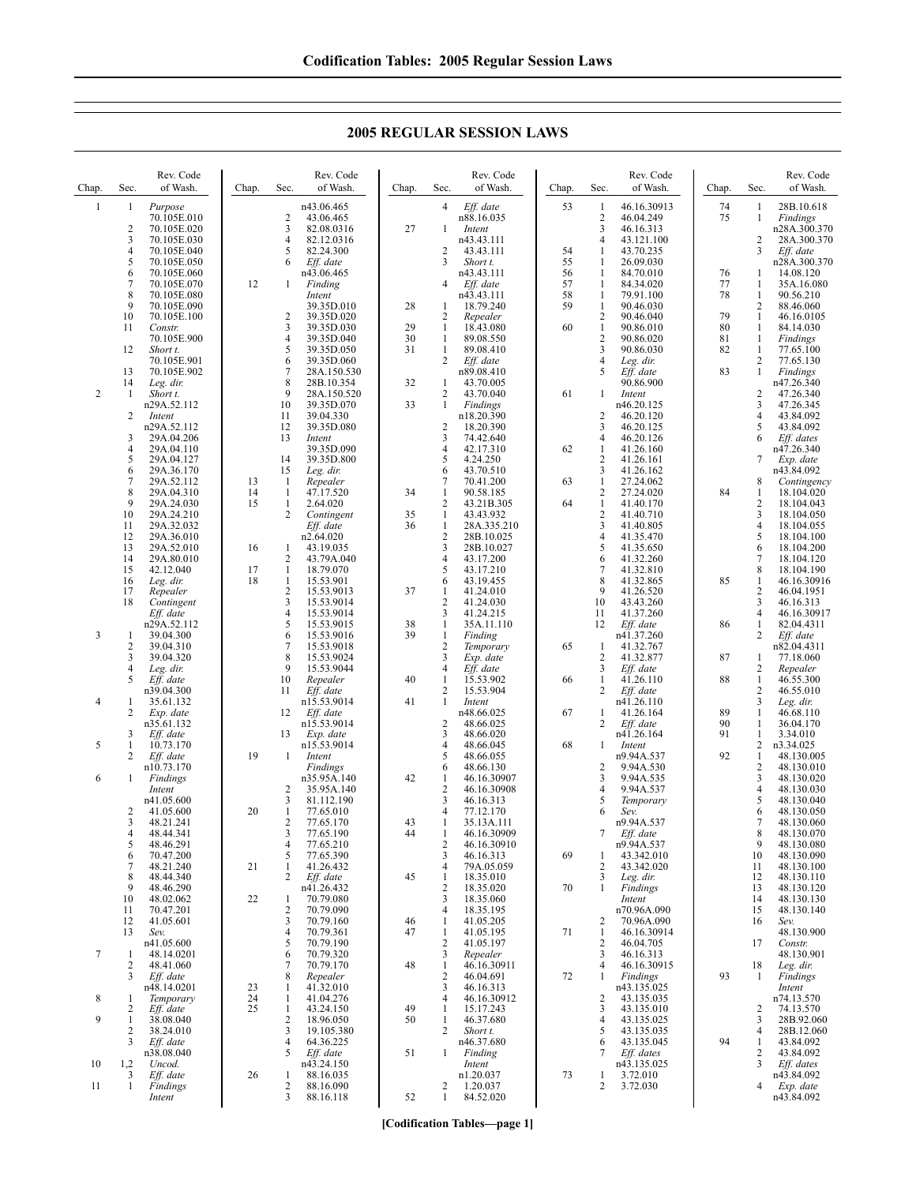| Chap.          | Sec.                  | Rev. Code<br>of Wash.      | Chap.    | Sec.                         | Rev. Code<br>of Wash.     | Chap.    | Sec.                           | Rev. Code<br>of Wash.      | Chap.    | Sec.                           | Rev. Code<br>of Wash.     | Chap.    | Sec.                           | Rev. Code<br>of Wash.     |
|----------------|-----------------------|----------------------------|----------|------------------------------|---------------------------|----------|--------------------------------|----------------------------|----------|--------------------------------|---------------------------|----------|--------------------------------|---------------------------|
| $\mathbf{1}$   | 1                     | Purpose<br>70.105E.010     |          | $\overline{2}$               | n43.06.465<br>43.06.465   |          | $\overline{4}$                 | Eff. date<br>n88.16.035    | 53       | -1<br>$\sqrt{2}$               | 46.16.30913<br>46.04.249  | 74<br>75 | $\mathbf{1}$<br>1              | 28B.10.618<br>Findings    |
|                | $\overline{c}$        | 70.105E.020                |          | 3                            | 82.08.0316                | 27       | 1                              | Intent                     |          | 3                              | 46.16.313                 |          |                                | n28A.300.370              |
|                | 3                     | 70.105E.030                |          | $\overline{4}$               | 82.12.0316                |          |                                | n43.43.111                 |          | $\overline{4}$                 | 43.121.100                |          | $\overline{2}$                 | 28A.300.370               |
|                | $\overline{4}$        | 70.105E.040                |          | 5                            | 82.24.300                 |          | 2                              | 43.43.111                  | 54       | 1                              | 43.70.235                 |          | 3                              | Eff. date                 |
|                | 5<br>6                | 70.105E.050<br>70.105E.060 |          | 6                            | Eff. date<br>n43.06.465   |          | 3                              | Short t.<br>n43.43.111     | 55<br>56 | 1<br>1                         | 26.09.030<br>84.70.010    | 76       | 1                              | n28A.300.370<br>14.08.120 |
|                | $\overline{7}$        | 70.105E.070                | 12       | 1                            | Finding                   |          | 4                              | Eff. date                  | 57       | -1                             | 84.34.020                 | 77       | 1                              | 35A.16.080                |
|                | 8                     | 70.105E.080                |          |                              | Intent                    |          |                                | n43.43.111                 | 58       | -1                             | 79.91.100                 | 78       | 1                              | 90.56.210                 |
|                | 9                     | 70.105E.090                |          |                              | 39.35D.010                | 28       | 1                              | 18.79.240                  | 59       | $\mathbf{1}$                   | 90.46.030                 |          | 2                              | 88.46.060                 |
|                | 10<br>11              | 70.105E.100<br>Constr.     |          | 2<br>3                       | 39.35D.020<br>39.35D.030  | 29       | $\overline{2}$<br>1            | Repealer<br>18.43.080      | 60       | $\overline{2}$<br>1            | 90.46.040<br>90.86.010    | 79<br>80 | $\mathbf{1}$<br>1              | 46.16.0105<br>84.14.030   |
|                |                       | 70.105E.900                |          | $\overline{4}$               | 39.35D.040                | 30       | $\mathbf{1}$                   | 89.08.550                  |          | $\overline{2}$                 | 90.86.020                 | 81       | 1                              | Findings                  |
|                | 12                    | Short t.                   |          | 5                            | 39.35D.050                | 31       | 1                              | 89.08.410                  |          | 3                              | 90.86.030                 | 82       | -1                             | 77.65.100                 |
|                |                       | 70.105E.901                |          | 6<br>$\overline{7}$          | 39.35D.060                |          | 2                              | Eff. date<br>n89.08.410    |          | $\overline{4}$<br>5            | Leg. dir.                 |          | $\overline{2}$                 | 77.65.130                 |
|                | 13<br>14              | 70.105E.902<br>Leg. dir.   |          | 8                            | 28A.150.530<br>28B.10.354 | 32       | $\mathbf{1}$                   | 43.70.005                  |          |                                | Eff. date<br>90.86.900    | 83       | 1                              | Findings<br>n47.26.340    |
| $\overline{2}$ | 1                     | Short t.                   |          | 9                            | 28A.150.520               |          | 2                              | 43.70.040                  | 61       | 1                              | Intent                    |          | 2                              | 47.26.340                 |
|                |                       | n29A.52.112                |          | 10                           | 39.35D.070                | 33       | $\mathbf{1}$                   | Findings                   |          |                                | n46.20.125                |          | 3                              | 47.26.345                 |
|                | 2                     | Intent<br>n29A.52.112      |          | 11<br>12                     | 39.04.330<br>39.35D.080   |          | $\overline{2}$                 | n18.20.390<br>18.20.390    |          | 2<br>3                         | 46.20.120<br>46.20.125    |          | $\overline{4}$<br>5            | 43.84.092<br>43.84.092    |
|                | 3                     | 29A.04.206                 |          | 13                           | Intent                    |          | 3                              | 74.42.640                  |          | $\overline{4}$                 | 46.20.126                 |          | 6                              | Eff. dates                |
|                | 4                     | 29A.04.110                 |          |                              | 39.35D.090                |          | 4                              | 42.17.310                  | 62       | 1                              | 41.26.160                 |          |                                | n47.26.340                |
|                | 5                     | 29A.04.127                 |          | 14                           | 39.35D.800                |          | 5                              | 4.24.250                   |          | $\sqrt{2}$                     | 41.26.161                 |          | 7                              | Exp. date                 |
|                | 6<br>$\boldsymbol{7}$ | 29A.36.170<br>29A.52.112   | 13       | 15<br>-1                     | Leg. dir.<br>Repealer     |          | 6<br>7                         | 43.70.510<br>70.41.200     | 63       | 3<br>$\mathbf{1}$              | 41.26.162<br>27.24.062    |          | 8                              | n43.84.092<br>Contingency |
|                | 8                     | 29A.04.310                 | 14       | -1                           | 47.17.520                 | 34       | $\mathbf{1}$                   | 90.58.185                  |          | $\sqrt{2}$                     | 27.24.020                 | 84       | 1                              | 18.104.020                |
|                | 9                     | 29A.24.030                 | 15       | 1                            | 2.64.020                  |          | $\overline{2}$                 | 43.21B.305                 | 64       | $\mathbf{1}$                   | 41.40.170                 |          | $\overline{c}$                 | 18.104.043                |
|                | 10                    | 29A.24.210                 |          | 2                            | Contingent                | 35<br>36 | $\mathbf{1}$                   | 43.43.932                  |          | $\overline{2}$                 | 41.40.710                 |          | 3                              | 18.104.050                |
|                | 11<br>12              | 29A.32.032<br>29A.36.010   |          |                              | Eff. date<br>n2.64.020    |          | $\mathbf{1}$<br>$\overline{2}$ | 28A.335.210<br>28B.10.025  |          | 3<br>$\overline{4}$            | 41.40.805<br>41.35.470    |          | $\overline{4}$<br>5            | 18.104.055<br>18.104.100  |
|                | 13                    | 29A.52.010                 | 16       | 1                            | 43.19.035                 |          | 3                              | 28B.10.027                 |          | 5                              | 41.35.650                 |          | 6                              | 18.104.200                |
|                | 14                    | 29A.80.010                 |          | $\overline{2}$               | 43.79A.040                |          | $\overline{4}$                 | 43.17.200                  |          | 6                              | 41.32.260                 |          | 7                              | 18.104.120                |
|                | 15<br>16              | 42.12.040                  | 17<br>18 | 1<br>$\mathbf{1}$            | 18.79.070<br>15.53.901    |          | 5<br>6                         | 43.17.210<br>43.19.455     |          | 7<br>8                         | 41.32.810<br>41.32.865    | 85       | 8<br>1                         | 18.104.190<br>46.16.30916 |
|                | 17                    | Leg. dir.<br>Repealer      |          | $\overline{c}$               | 15.53.9013                | 37       | $\mathbf{1}$                   | 41.24.010                  |          | 9                              | 41.26.520                 |          | $\sqrt{2}$                     | 46.04.1951                |
|                | 18                    | Contingent                 |          | 3                            | 15.53.9014                |          | $\overline{2}$                 | 41.24.030                  |          | 10                             | 43.43.260                 |          | 3                              | 46.16.313                 |
|                |                       | Eff. date                  |          | $\overline{4}$               | 15.53.9014                |          | 3                              | 41.24.215                  |          | 11                             | 41.37.260                 |          | 4                              | 46.16.30917               |
| 3              | 1                     | n29A.52.112<br>39.04.300   |          | 5<br>6                       | 15.53.9015<br>15.53.9016  | 38<br>39 | 1<br>$\mathbf{1}$              | 35A.11.110<br>Finding      |          | 12                             | $Eff.$ date<br>n41.37.260 | 86       | 1<br>2                         | 82.04.4311<br>Eff. date   |
|                | $\overline{2}$        | 39.04.310                  |          | 7                            | 15.53.9018                |          | $\overline{2}$                 | Temporary                  | 65       | 1                              | 41.32.767                 |          |                                | n82.04.4311               |
|                | 3                     | 39.04.320                  |          | 8                            | 15.53.9024                |          | 3                              | Exp. date                  |          | $\overline{2}$                 | 41.32.877                 | 87       | 1                              | 77.18.060                 |
|                | $\overline{4}$        | Leg. dir.                  |          | 9                            | 15.53.9044                |          | 4                              | Eff. date                  |          | 3                              | Eff. date                 |          | 2                              | Repealer                  |
|                | 5                     | Eff. date<br>n39.04.300    |          | 10<br>11                     | Repealer<br>Eff. date     | 40       | $\mathbf{1}$<br>2              | 15.53.902<br>15.53.904     | 66       | $\mathbf{1}$<br>$\overline{c}$ | 41.26.110<br>Eff. date    | 88       | $\mathbf{1}$<br>$\overline{c}$ | 46.55.300<br>46.55.010    |
| 4              | 1                     | 35.61.132                  |          |                              | n15.53.9014               | 41       | 1                              | Intent                     |          |                                | n41.26.110                |          | 3                              | Leg. dir.                 |
|                | 2                     | Exp. date                  |          | 12                           | Eff. date                 |          |                                | n48.66.025                 | 67       | -1                             | 41.26.164                 | 89       | 1                              | 46.68.110                 |
|                | 3                     | n35.61.132                 |          | 13                           | n15.53.9014               |          | $\overline{2}$<br>3            | 48.66.025<br>48.66.020     |          | 2                              | Eff. date<br>n41.26.164   | 90<br>91 | 1<br>$\mathbf{1}$              | 36.04.170<br>3.34.010     |
| 5              | $\mathbf{1}$          | Eff. date<br>10.73.170     |          |                              | Exp. date<br>n15.53.9014  |          | 4                              | 48.66.045                  | 68       | $\mathbf{1}$                   | Intent                    |          | 2                              | n3.34.025                 |
|                | 2                     | Eff. date                  | 19       | 1                            | Intent                    |          | 5                              | 48.66.055                  |          |                                | n9.94A.537                | 92       | $\mathbf{1}$                   | 48.130.005                |
|                |                       | n10.73.170                 |          |                              | Findings                  |          | 6                              | 48.66.130                  |          | $\overline{2}$                 | 9.94A.530                 |          | 2                              | 48.130.010                |
| 6              | 1                     | Findings<br>Intent         |          | 2                            | n35.95A.140<br>35.95A.140 | 42       | 1<br>$\overline{c}$            | 46.16.30907<br>46.16.30908 |          | 3<br>$\overline{4}$            | 9.94A.535<br>9.94A.537    |          | 3<br>4                         | 48.130.020<br>48.130.030  |
|                |                       | n41.05.600                 |          | 3                            | 81.112.190                |          | 3                              | 46.16.313                  |          | 5                              | Temporary                 |          | 5                              | 48.130.040                |
|                | 2                     | 41.05.600                  | 20       | 1                            | 77.65.010                 |          | 4                              | 77.12.170                  |          | 6                              | Sev.                      |          | 6                              | 48.130.050                |
|                | 3                     | 48.21.241                  |          | $\overline{2}$               | 77.65.170                 | 43       | 1                              | 35.13A.111                 |          |                                | n9.94A.537                |          | 7                              | 48.130.060                |
|                | 4<br>5                | 48.44.341<br>48.46.291     |          | 3<br>$\overline{4}$          | 77.65.190<br>77.65.210    | 44       | -1<br>$\overline{2}$           | 46.16.30909<br>46.16.30910 |          |                                | Eff. date<br>n9.94A.537   |          | 8<br>9                         | 48.130.070<br>48.130.080  |
|                | 6                     | 70.47.200                  |          | 5                            | 77.65.390                 |          | 3                              | 46.16.313                  | 69       | 1                              | 43.342.010                |          | 10                             | 48.130.090                |
|                | 7                     | 48.21.240                  | 21       | $\mathbf{1}$                 | 41.26.432                 |          | 4                              | 79A.05.059                 |          | $\overline{2}$                 | 43.342.020                |          | 11                             | 48.130.100                |
|                | 8<br>9                | 48.44.340<br>48.46.290     |          | 2                            | Eff. date<br>n41.26.432   | 45       | 1<br>$\overline{2}$            | 18.35.010<br>18.35.020     | 70       | 3<br>$\mathbf{1}$              | Leg. dir.<br>Findings     |          | 12<br>13                       | 48.130.110<br>48.130.120  |
|                | 10                    | 48.02.062                  | 22       | 1                            | 70.79.080                 |          | 3                              | 18.35.060                  |          |                                | Intent                    |          | 14                             | 48.130.130                |
|                | 11                    | 70.47.201                  |          | 2                            | 70.79.090                 |          | 4                              | 18.35.195                  |          |                                | n70.96A.090               |          | 15                             | 48.130.140                |
|                | 12                    | 41.05.601                  |          | 3                            | 70.79.160                 | 46       | $\mathbf{1}$                   | 41.05.205                  |          | 2                              | 70.96A.090                |          | 16                             | Sev.                      |
|                | 13                    | Sev.<br>n41.05.600         |          | $\overline{4}$<br>5          | 70.79.361<br>70.79.190    | 47       | $\mathbf{1}$<br>$\sqrt{2}$     | 41.05.195<br>41.05.197     | 71       | 1<br>$\overline{2}$            | 46.16.30914<br>46.04.705  |          | 17                             | 48.130.900<br>Constr.     |
| 7              | -1                    | 48.14.0201                 |          | 6                            | 70.79.320                 |          | 3                              | Repealer                   |          | 3                              | 46.16.313                 |          |                                | 48.130.901                |
|                | 2                     | 48.41.060                  |          | $\tau$                       | 70.79.170                 | 48       | 1                              | 46.16.30911                |          | 4                              | 46.16.30915               |          | 18                             | Leg. dir.                 |
|                | 3                     | Eff. date                  |          | 8                            | Repealer                  |          | $\overline{2}$                 | 46.04.691                  | 72       | 1                              | Findings                  | 93       | -1                             | Findings                  |
| 8              | 1                     | n48.14.0201<br>Temporary   | 23<br>24 | $\mathbf{1}$<br>$\mathbf{1}$ | 41.32.010<br>41.04.276    |          | 3<br>4                         | 46.16.313<br>46.16.30912   |          | 2                              | n43.135.025<br>43.135.035 |          |                                | Intent<br>n74.13.570      |
|                | 2                     | Eff. date                  | 25       | $\mathbf{1}$                 | 43.24.150                 | 49       | $\mathbf{1}$                   | 15.17.243                  |          | 3                              | 43.135.010                |          | 2                              | 74.13.570                 |
| 9              | 1                     | 38.08.040                  |          | $\sqrt{2}$                   | 18.96.050                 | 50       | $\mathbf{1}$                   | 46.37.680                  |          | 4                              | 43.135.025                |          | 3                              | 28B.92.060                |
|                | 2<br>3                | 38.24.010<br>Eff. date     |          | 3<br>$\overline{4}$          | 19.105.380<br>64.36.225   |          | $\overline{c}$                 | Short t.<br>n46.37.680     |          | 5<br>6                         | 43.135.035<br>43.135.045  | 94       | 4<br>1                         | 28B.12.060<br>43.84.092   |
|                |                       | n38.08.040                 |          | 5                            | Eff. date                 | 51       | $\mathbf{1}$                   | Finding                    |          | 7                              | Eff. dates                |          | 2                              | 43.84.092                 |
| 10             | 1,2                   | Uncod.                     |          |                              | n43.24.150                |          |                                | Intent                     |          |                                | n43.135.025               |          | 3                              | Eff. dates                |
|                | 3<br>$\mathbf{1}$     | Eff. date                  | 26       | -1                           | 88.16.035                 |          |                                | n1.20.037                  | 73       | 1                              | 3.72.010                  |          |                                | n43.84.092                |
| 11             |                       | Findings<br>Intent         |          | 2<br>3                       | 88.16.090<br>88.16.118    | 52       | 2<br>$\mathbf{1}$              | 1.20.037<br>84.52.020      |          | 2                              | 3.72.030                  |          | 4                              | Exp. date<br>n43.84.092   |
|                |                       |                            |          |                              |                           |          |                                |                            |          |                                |                           |          |                                |                           |

### **2005 REGULAR SESSION LAWS**

**[Codification Tables—page 1]**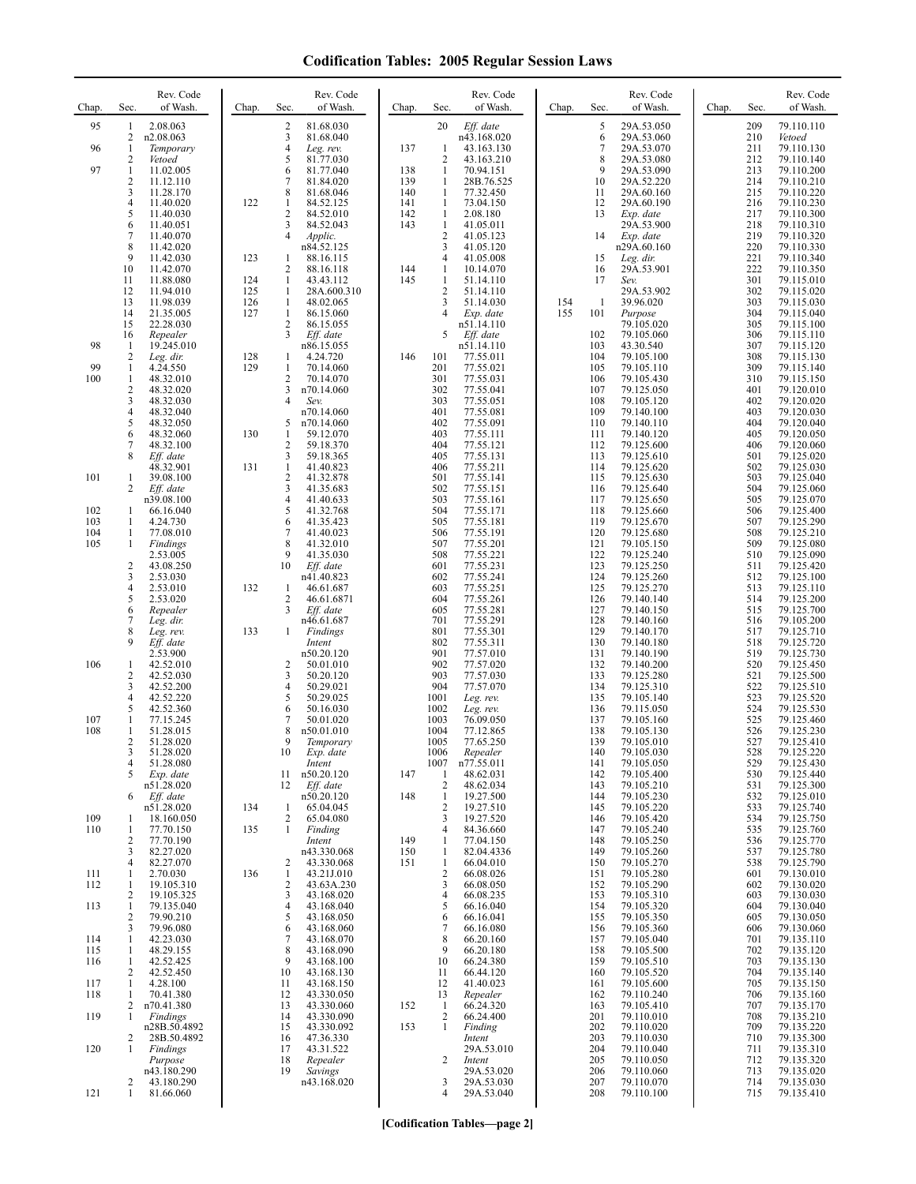| Chap.      | Rev. Code<br>Sec.<br>of Wash.                          | Chap.      | Rev. Code<br>of Wash.<br>Sec.                 | Chap.      | Rev. Code<br>of Wash.<br>Sec.                            | Rev. Code<br>of Wash.<br>Chap.<br>Sec.                    | Chap. | Sec.       | Rev. Code<br>of Wash.    |
|------------|--------------------------------------------------------|------------|-----------------------------------------------|------------|----------------------------------------------------------|-----------------------------------------------------------|-------|------------|--------------------------|
| 95         | 2.08.063<br>1<br>2<br>n2.08.063                        |            | 2<br>81.68.030<br>3<br>81.68.040              |            | 20<br>Eff. date<br>n43.168.020                           | 5<br>29A.53.050<br>6<br>29A.53.060                        |       | 209<br>210 | 79.110.110<br>Vetoed     |
| 96         | 1<br>Temporary<br>2                                    |            | 4<br>Leg. rev.<br>5<br>81.77.030              | 137        | $\mathbf{1}$<br>43.163.130<br>2<br>43.163.210            | 7<br>29A.53.070<br>8<br>29A.53.080                        |       | 211<br>212 | 79.110.130<br>79.110.140 |
| 97         | Vetoed<br>$\mathbf{1}$<br>11.02.005                    |            | 6<br>81.77.040                                | 138        | $\mathbf{1}$<br>70.94.151                                | 9<br>29A.53.090                                           |       | 213        | 79.110.200               |
|            | $\overline{\mathbf{c}}$<br>11.12.110<br>3<br>11.28.170 |            | 7<br>81.84.020<br>8<br>81.68.046              | 139<br>140 | $\mathbf{1}$<br>28B.76.525<br>1<br>77.32.450             | 29A.52.220<br>10<br>11<br>29A.60.160                      |       | 214<br>215 | 79.110.210<br>79.110.220 |
|            | 4<br>11.40.020<br>5<br>11.40.030                       | 122        | 1<br>84.52.125<br>$\mathbf{2}$<br>84.52.010   | 141<br>142 | $\mathbf{1}$<br>73.04.150<br>2.08.180<br>1               | 12<br>29A.60.190<br>13<br>Exp. date                       |       | 216<br>217 | 79.110.230<br>79.110.300 |
|            | 6<br>11.40.051<br>7<br>11.40.070                       |            | 3<br>84.52.043<br>$\overline{4}$              | 143        | $\mathbf{1}$<br>41.05.011<br>$\overline{2}$<br>41.05.123 | 29A.53.900<br>Exp. date<br>14                             |       | 218<br>219 | 79.110.310<br>79.110.320 |
|            | 8<br>11.42.020                                         |            | Applic.<br>n84.52.125                         |            | 3<br>41.05.120                                           | n29A.60.160                                               |       | 220        | 79.110.330               |
|            | 9<br>11.42.030<br>10<br>11.42.070                      | 123        | 88.16.115<br>1<br>2<br>88.16.118              | 144        | 41.05.008<br>4<br>1<br>10.14.070                         | 15<br>Leg. dir.<br>29A.53.901<br>16                       |       | 221<br>222 | 79.110.340<br>79.110.350 |
|            | 11<br>11.88.080<br>12<br>11.94.010                     | 124<br>125 | 1<br>43.43.112<br>$\mathbf{1}$<br>28A.600.310 | 145        | $\mathbf{1}$<br>51.14.110<br>$\overline{c}$<br>51.14.110 | 17<br>Sev.<br>29A.53.902                                  |       | 301<br>302 | 79.115.010<br>79.115.020 |
|            | 13<br>11.98.039<br>14<br>21.35.005                     | 126<br>127 | 1<br>48.02.065<br>$\mathbf{1}$<br>86.15.060   |            | 3<br>51.14.030<br>Exp. date                              | 154<br>$\mathbf{1}$<br>39.96.020<br>155<br>101<br>Purpose |       | 303<br>304 | 79.115.030<br>79.115.040 |
|            | 15<br>22.28.030<br>16<br>Repealer                      |            | $\mathbf{2}$<br>86.15.055<br>3<br>Eff. date   |            | n51.14.110<br>5<br>Eff. date                             | 79.105.020<br>102<br>79.105.060                           |       | 305<br>306 | 79.115.100<br>79.115.110 |
| 98         | 19.245.010<br>-1<br>2<br>Leg. dir.                     | 128        | n86.15.055<br>1<br>4.24.720                   | 146        | n51.14.110<br>101<br>77.55.011                           | 103<br>43.30.540<br>104<br>79.105.100                     |       | 307<br>308 | 79.115.120<br>79.115.130 |
| 99         | 1<br>4.24.550                                          | 129        | $\mathbf{1}$<br>70.14.060                     |            | 201<br>77.55.021                                         | 105<br>79.105.110                                         |       | 309        | 79.115.140               |
| 100        | 1<br>48.32.010<br>$\overline{c}$<br>48.32.020          |            | 2<br>70.14.070<br>3<br>n70.14.060             |            | 301<br>77.55.031<br>302<br>77.55.041                     | 106<br>79.105.430<br>107<br>79.125.050                    |       | 310<br>401 | 79.115.150<br>79.120.010 |
|            | 3<br>48.32.030<br>4<br>48.32.040                       |            | 4<br>Sev.<br>n70.14.060                       |            | 303<br>77.55.051<br>401<br>77.55.081                     | 108<br>79.105.120<br>109<br>79.140.100                    |       | 402<br>403 | 79.120.020<br>79.120.030 |
|            | 5<br>48.32.050<br>6<br>48.32.060                       | 130        | 5<br>n70.14.060<br>$\mathbf{1}$<br>59.12.070  |            | 402<br>77.55.091<br>403<br>77.55.111                     | 110<br>79.140.110<br>111<br>79.140.120                    |       | 404<br>405 | 79.120.040<br>79.120.050 |
|            | $\overline{7}$<br>48.32.100<br>8<br>Eff. date          |            | $\overline{c}$<br>59.18.370<br>3<br>59.18.365 |            | 404<br>77.55.121<br>77.55.131<br>405                     | 112<br>79.125.600<br>113<br>79.125.610                    |       | 406<br>501 | 79.120.060<br>79.125.020 |
| 101        | 48.32.901<br>39.08.100<br>1                            | 131        | $\mathbf{1}$<br>41.40.823<br>2<br>41.32.878   |            | 406<br>77.55.211<br>501<br>77.55.141                     | 114<br>79.125.620<br>115<br>79.125.630                    |       | 502<br>503 | 79.125.030<br>79.125.040 |
|            | 2<br>Eff. date                                         |            | 3<br>41.35.683<br>4                           |            | 502<br>77.55.151<br>503                                  | 116<br>79.125.640                                         |       | 504        | 79.125.060               |
| 102        | n39.08.100<br>66.16.040<br>1                           |            | 41.40.633<br>5<br>41.32.768                   |            | 77.55.161<br>504<br>77.55.171                            | 117<br>79.125.650<br>118<br>79.125.660                    |       | 505<br>506 | 79.125.070<br>79.125.400 |
| 103<br>104 | 1<br>4.24.730<br>1<br>77.08.010                        |            | 6<br>41.35.423<br>7<br>41.40.023              |            | 505<br>77.55.181<br>506<br>77.55.191                     | 119<br>79.125.670<br>120<br>79.125.680                    |       | 507<br>508 | 79.125.290<br>79.125.210 |
| 105        | 1<br>Findings<br>2.53.005                              |            | 8<br>41.32.010<br>9<br>41.35.030              |            | 507<br>77.55.201<br>508<br>77.55.221                     | 121<br>79.105.150<br>122<br>79.125.240                    |       | 509<br>510 | 79.125.080<br>79.125.090 |
|            | $\overline{\mathbf{c}}$<br>43.08.250<br>3<br>2.53.030  |            | 10<br>Eff. date<br>n41.40.823                 |            | 601<br>77.55.231<br>602<br>77.55.241                     | 123<br>79.125.250<br>124<br>79.125.260                    |       | 511<br>512 | 79.125.420<br>79.125.100 |
|            | 4<br>2.53.010<br>5<br>2.53.020                         | 132        | 46.61.687<br>1<br>2<br>46.61.6871             |            | 603<br>77.55.251<br>604<br>77.55.261                     | 125<br>79.125.270<br>126<br>79.140.140                    |       | 513<br>514 | 79.125.110<br>79.125.200 |
|            | 6<br>Repealer<br>7<br>Leg. dir.                        |            | 3<br>Eff. date<br>n46.61.687                  |            | 605<br>77.55.281<br>701<br>77.55.291                     | 127<br>79.140.150<br>128<br>79.140.160                    |       | 515<br>516 | 79.125.700<br>79.105.200 |
|            | 8<br>Leg. rev.<br>9                                    | 133        | Findings<br>1                                 |            | 801<br>77.55.301                                         | 129<br>79.140.170                                         |       | 517        | 79.125.710               |
|            | Eff. date<br>2.53.900                                  |            | Intent<br>n50.20.120                          |            | 802<br>77.55.311<br>901<br>77.57.010                     | 130<br>79.140.180<br>131<br>79.140.190                    |       | 518<br>519 | 79.125.720<br>79.125.730 |
| 106        | 42.52.010<br>1<br>$\overline{\mathbf{c}}$<br>42.52.030 |            | 2<br>50.01.010<br>3<br>50.20.120              |            | 902<br>77.57.020<br>903<br>77.57.030                     | 132<br>79.140.200<br>133<br>79.125.280                    |       | 520<br>521 | 79.125.450<br>79.125.500 |
|            | 3<br>42.52.200<br>$\overline{4}$<br>42.52.220          |            | 4<br>50.29.021<br>5<br>50.29.025              |            | 904<br>77.57.070<br>1001<br>Leg. rev.                    | 134<br>79.125.310<br>135<br>79.105.140                    |       | 522<br>523 | 79.125.510<br>79.125.520 |
| 107        | 5<br>42.52.360<br>1<br>77.15.245                       |            | 6<br>50.16.030<br>7<br>50.01.020              |            | 1002<br>Leg. rev.<br>1003<br>76.09.050                   | 136<br>79.115.050<br>137<br>79.105.160                    |       | 524<br>525 | 79.125.530<br>79.125.460 |
| 108        | 1<br>51.28.015<br>2<br>51.28.020                       |            | 8<br>n50.01.010<br>9<br>Temporary             |            | 1004<br>77.12.865<br>1005<br>77.65.250                   | 138<br>79.105.130<br>139<br>79.105.010                    |       | 526<br>527 | 79.125.230<br>79.125.410 |
|            | 51.28.020<br>3<br>51.28.080<br>4                       |            | 10<br>Exp. date<br>Intent                     |            | 1006<br>Repealer<br>1007<br>n77.55.011                   | 140<br>79.105.030<br>141<br>79.105.050                    |       | 528<br>529 | 79.125.220<br>79.125.430 |
|            | 5<br>Exp. date                                         |            | n50.20.120<br>11                              | 147        | 48.62.031<br>1                                           | 79.105.400<br>142                                         |       | 530        | 79.125.440               |
|            | n51.28.020<br>Eff. date<br>6                           |            | 12<br>Eff. date<br>n50.20.120                 | 148        | $\overline{c}$<br>48.62.034<br>19.27.500<br>1            | 143<br>79.105.210<br>144<br>79.105.230                    |       | 531<br>532 | 79.125.300<br>79.125.010 |
| 109        | n51.28.020<br>18.160.050<br>1                          | 134        | 65.04.045<br>1<br>2<br>65.04.080              |            | $\overline{c}$<br>19.27.510<br>19.27.520<br>3            | 145<br>79.105.220<br>79.105.420<br>146                    |       | 533<br>534 | 79.125.740<br>79.125.750 |
| 110        | 1<br>77.70.150<br>$\overline{c}$<br>77.70.190          | 135        | $\mathbf{1}$<br>Finding<br>Intent             | 149        | 84.36.660<br>4<br>77.04.150<br>1                         | 147<br>79.105.240<br>79.105.250<br>148                    |       | 535<br>536 | 79.125.760<br>79.125.770 |
|            | 3<br>82.27.020<br>4<br>82.27.070                       |            | n43.330.068<br>2<br>43.330.068                | 150<br>151 | 82.04.4336<br>$\mathbf{1}$<br>66.04.010<br>1             | 79.105.260<br>149<br>150<br>79.105.270                    |       | 537<br>538 | 79.125.780<br>79.125.790 |
| 111<br>112 | 1<br>2.70.030<br>19.105.310<br>1                       | 136        | $\mathbf{1}$<br>43.21J.010<br>2<br>43.63A.230 |            | $\overline{c}$<br>66.08.026<br>3<br>66.08.050            | 79.105.280<br>151<br>152<br>79.105.290                    |       | 601<br>602 | 79.130.010<br>79.130.020 |
| 113        | 19.105.325<br>2<br>79.135.040<br>1                     |            | 3<br>43.168.020<br>4<br>43.168.040            |            | 66.08.235<br>4<br>66.16.040<br>5                         | 79.105.310<br>153<br>154<br>79.105.320                    |       | 603<br>604 | 79.130.030<br>79.130.040 |
|            | 79.90.210<br>2<br>3<br>79.96.080                       |            | 5<br>43.168.050<br>6<br>43.168.060            |            | 66.16.041<br>6<br>66.16.080<br>7                         | 79.105.350<br>155<br>156<br>79.105.360                    |       | 605<br>606 | 79.130.050<br>79.130.060 |
| 114        | 42.23.030<br>1                                         |            | 7<br>43.168.070                               |            | 66.20.160<br>8                                           | 79.105.040<br>157                                         |       | 701        | 79.135.110               |
| 115<br>116 | 48.29.155<br>1<br>42.52.425<br>1                       |            | 8<br>43.168.090<br>9<br>43.168.100            |            | 9<br>66.20.180<br>66.24.380<br>10                        | 158<br>79.105.500<br>159<br>79.105.510                    |       | 702<br>703 | 79.135.120<br>79.135.130 |
| 117        | 2<br>42.52.450<br>4.28.100<br>1                        |            | 10<br>43.168.130<br>11<br>43.168.150          |            | 66.44.120<br>11<br>12<br>41.40.023                       | 79.105.520<br>160<br>79.105.600<br>161                    |       | 704<br>705 | 79.135.140<br>79.135.150 |
| 118        | 70.41.380<br>1<br>2<br>n70.41.380                      |            | 12<br>43.330.050<br>13<br>43.330.060          | 152        | Repealer<br>13<br>-1<br>66.24.320                        | 79.110.240<br>162<br>163<br>79.105.410                    |       | 706<br>707 | 79.135.160<br>79.135.170 |
| 119        | Findings<br>1<br>n28B.50.4892                          |            | 14<br>43.330.090<br>15<br>43.330.092          | 153        | $\overline{c}$<br>66.24.400<br>1<br>Finding              | 201<br>79.110.010<br>202<br>79.110.020                    |       | 708<br>709 | 79.135.210<br>79.135.220 |
| 120        | $\overline{c}$<br>28B.50.4892<br>1<br>Findings         |            | 16<br>47.36.330<br>43.31.522<br>17            |            | Intent<br>29A.53.010                                     | 203<br>79.110.030<br>204<br>79.110.040                    |       | 710<br>711 | 79.135.300<br>79.135.310 |
|            | Purpose<br>n43.180.290                                 |            | 18<br>Repealer<br>19<br>Savings               |            | 2<br>Intent<br>29A.53.020                                | 205<br>79.110.050<br>206<br>79.110.060                    |       | 712<br>713 | 79.135.320<br>79.135.020 |
|            | 2<br>43.180.290                                        |            | n43.168.020                                   |            | 3<br>29A.53.030                                          | 207<br>79.110.070                                         |       | 714        | 79.135.030               |
| 121        | 81.66.060<br>1                                         |            |                                               |            | 29A.53.040<br>4                                          | 208<br>79.110.100                                         |       | 715        | 79.135.410               |

**[Codification Tables—page 2]**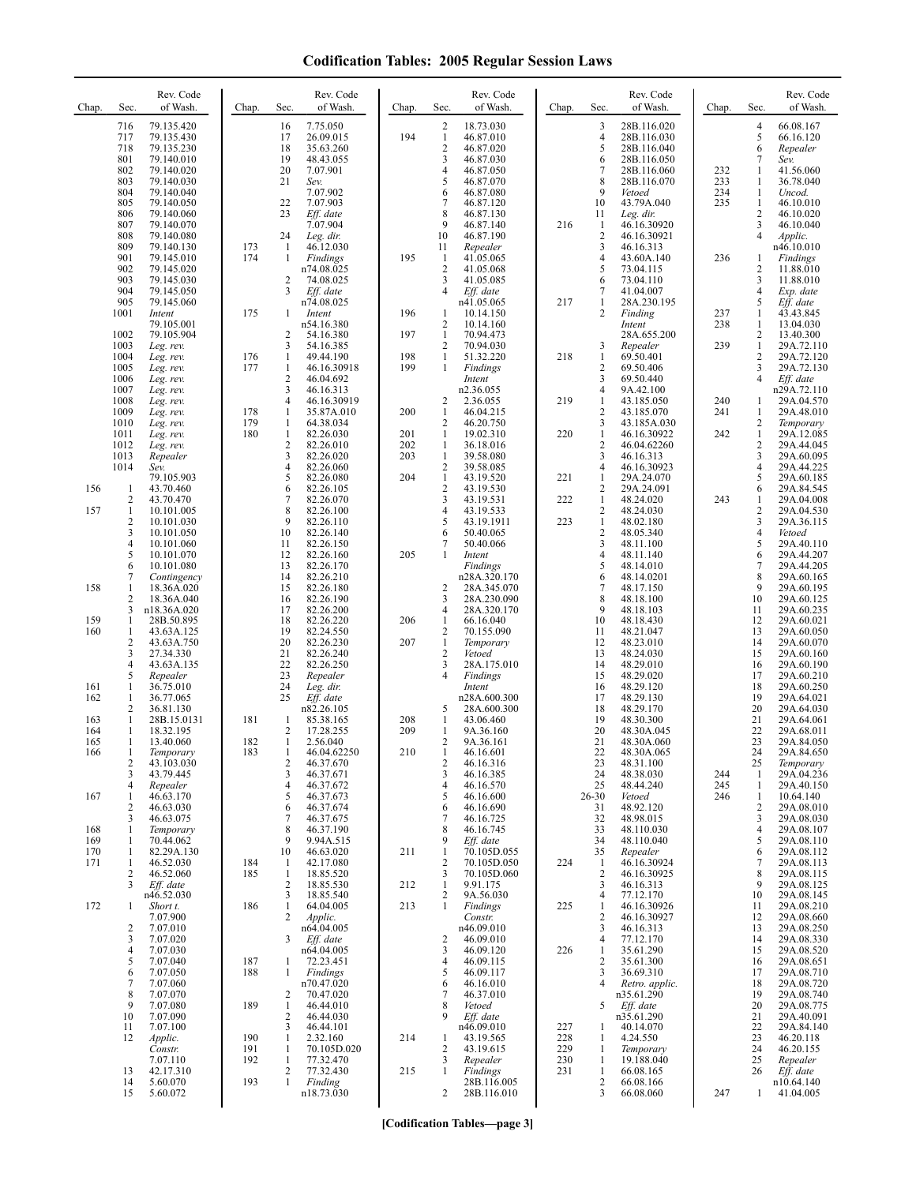| Chap.      | Sec.                           | Rev. Code<br>of Wash.     | Chap.      | Sec.                           | Rev. Code<br>of Wash.    | Chap.      | Sec.                           | Rev. Code<br>of Wash.      | Chap.      | Sec.                           | Rev. Code<br>of Wash.        | Chap.      | Sec.                           | Rev. Code<br>of Wash.    |
|------------|--------------------------------|---------------------------|------------|--------------------------------|--------------------------|------------|--------------------------------|----------------------------|------------|--------------------------------|------------------------------|------------|--------------------------------|--------------------------|
|            | 716<br>717                     | 79.135.420<br>79.135.430  |            | 16<br>17                       | 7.75.050<br>26.09.015    | 194        | $\overline{c}$<br>$\mathbf{1}$ | 18.73.030<br>46.87.010     |            | 3<br>$\overline{4}$            | 28B.116.020<br>28B.116.030   |            | $\overline{4}$<br>5            | 66.08.167<br>66.16.120   |
|            | 718<br>801                     | 79.135.230<br>79.140.010  |            | 18<br>19                       | 35.63.260<br>48.43.055   |            | $\overline{2}$<br>3            | 46.87.020<br>46.87.030     |            | 5<br>6                         | 28B.116.040<br>28B.116.050   |            | 6<br>7                         | Repealer<br>Sev.         |
|            | 802<br>803                     | 79.140.020<br>79.140.030  |            | 20<br>21                       | 7.07.901<br>Sev.         |            | 4<br>5                         | 46.87.050<br>46.87.070     |            | $\overline{7}$<br>8            | 28B.116.060<br>28B.116.070   | 232<br>233 | 1<br>1                         | 41.56.060<br>36.78.040   |
|            | 804<br>805                     | 79.140.040<br>79.140.050  |            | 22                             | 7.07.902<br>7.07.903     |            | 6<br>7                         | 46.87.080<br>46.87.120     |            | 9<br>10                        | Vetoed<br>43.79A.040         | 234<br>235 | $\mathbf{1}$<br>1              | Uncod.<br>46.10.010      |
|            | 806<br>807                     | 79.140.060<br>79.140.070  |            | 23                             | Eff. date<br>7.07.904    |            | 8<br>9                         | 46.87.130<br>46.87.140     | 216        | 11<br>1                        | Leg. dir.<br>46.16.30920     |            | $\sqrt{2}$<br>3                | 46.10.020<br>46.10.040   |
|            | 808                            | 79.140.080                |            | 24                             | Leg. dir.                |            | 10                             | 46.87.190                  |            | $\overline{2}$                 | 46.16.30921                  |            | $\overline{4}$                 | Applic.                  |
|            | 809<br>901                     | 79.140.130<br>79.145.010  | 173<br>174 | -1<br>1                        | 46.12.030<br>Findings    | 195        | 11<br>$\mathbf{1}$             | Repealer<br>41.05.065      |            | 3<br>$\overline{4}$            | 46.16.313<br>43.60A.140      | 236        | 1                              | n46.10.010<br>Findings   |
|            | 902<br>903                     | 79.145.020<br>79.145.030  |            | 2                              | n74.08.025<br>74.08.025  |            | $\sqrt{2}$<br>3                | 41.05.068<br>41.05.085     |            | 5<br>6                         | 73.04.115<br>73.04.110       |            | 2<br>3                         | 11.88.010<br>11.88.010   |
|            | 904<br>905                     | 79.145.050<br>79.145.060  |            | 3                              | Eff. date<br>n74.08.025  |            | 4                              | Eff. date<br>n41.05.065    | 217        | 7<br>1                         | 41.04.007<br>28A.230.195     |            | $\overline{4}$<br>5            | Exp. date<br>Eff. date   |
|            | 1001                           | Intent<br>79.105.001      | 175        | 1                              | Intent<br>n54.16.380     | 196        | 1<br>$\overline{2}$            | 10.14.150<br>10.14.160     |            | 2                              | Finding<br>Intent            | 237<br>238 | 1<br>1                         | 43.43.845<br>13.04.030   |
|            | 1002<br>1003                   | 79.105.904<br>Leg. rev.   |            | 2<br>3                         | 54.16.380<br>54.16.385   | 197        | 1<br>$\overline{2}$            | 70.94.473<br>70.94.030     |            | 3                              | 28A.655.200<br>Repealer      | 239        | $\overline{c}$<br>$\mathbf{1}$ | 13.40.300<br>29A.72.110  |
|            | 1004<br>1005                   | Leg. rev.<br>Leg. rev.    | 176<br>177 | $\mathbf{1}$<br>$\mathbf{1}$   | 49.44.190<br>46.16.30918 | 198<br>199 | 1<br>$\mathbf{1}$              | 51.32.220<br>Findings      | 218        | 1<br>$\overline{2}$            | 69.50.401<br>69.50.406       |            | 2<br>3                         | 29A.72.120<br>29A.72.130 |
|            | 1006<br>1007                   | Leg. rev.<br>Leg. rev.    |            | 2<br>3                         | 46.04.692<br>46.16.313   |            |                                | Intent<br>n2.36.055        |            | 3<br>$\overline{4}$            | 69.50.440<br>9A.42.100       |            | $\overline{4}$                 | Eff. date<br>n29A.72.110 |
|            | 1008                           | Leg. rev.                 |            | 4                              | 46.16.30919              |            | 2<br>$\mathbf{1}$              | 2.36.055<br>46.04.215      | 219        | 1<br>$\overline{2}$            | 43.185.050                   | 240<br>241 | 1<br>1                         | 29A.04.570<br>29A.48.010 |
|            | 1009<br>1010                   | Leg. rev.<br>Leg. rev.    | 178<br>179 | $\mathbf{1}$<br>$\mathbf{1}$   | 35.87A.010<br>64.38.034  | 200        | 2                              | 46.20.750                  |            | 3                              | 43.185.070<br>43.185A.030    |            | $\overline{c}$                 | Temporary                |
|            | 1011<br>1012                   | Leg. rev.<br>Leg. rev.    | 180        | $\mathbf{1}$<br>$\mathbf{2}$   | 82.26.030<br>82.26.010   | 201<br>202 | $\mathbf{1}$<br>1              | 19.02.310<br>36.18.016     | 220        | $\mathbf{1}$<br>$\overline{2}$ | 46.16.30922<br>46.04.62260   | 242        | $\mathbf{1}$<br>$\overline{c}$ | 29A.12.085<br>29A.44.045 |
|            | 1013<br>1014                   | Repealer<br>Sev.          |            | 3<br>$\overline{4}$            | 82.26.020<br>82.26.060   | 203        | $\mathbf{1}$<br>$\overline{c}$ | 39.58.080<br>39.58.085     |            | 3<br>$\overline{4}$            | 46.16.313<br>46.16.30923     |            | 3<br>$\overline{4}$            | 29A.60.095<br>29A.44.225 |
| 156        | $\mathbf{1}$                   | 79.105.903<br>43.70.460   |            | 5<br>6                         | 82.26.080<br>82.26.105   | 204        | $\mathbf{1}$<br>$\overline{2}$ | 43.19.520<br>43.19.530     | 221        | $\mathbf{1}$<br>$\overline{2}$ | 29A.24.070<br>29A.24.091     |            | 5<br>6                         | 29A.60.185<br>29A.84.545 |
| 157        | $\overline{c}$<br>$\mathbf{1}$ | 43.70.470<br>10.101.005   |            | 7<br>8                         | 82.26.070<br>82.26.100   |            | 3<br>4                         | 43.19.531<br>43.19.533     | 222        | 1<br>$\overline{2}$            | 48.24.020<br>48.24.030       | 243        | 1<br>2                         | 29A.04.008<br>29A.04.530 |
|            | $\overline{c}$<br>3            | 10.101.030<br>10.101.050  |            | 9<br>10                        | 82.26.110<br>82.26.140   |            | 5<br>6                         | 43.19.1911<br>50.40.065    | 223        | 1<br>$\overline{\mathbf{c}}$   | 48.02.180<br>48.05.340       |            | 3<br>$\overline{4}$            | 29A.36.115<br>Vetoed     |
|            | $\overline{4}$<br>5            | 10.101.060<br>10.101.070  |            | 11<br>12                       | 82.26.150<br>82.26.160   | 205        | 7<br>1                         | 50.40.066<br>Intent        |            | 3<br>4                         | 48.11.100<br>48.11.140       |            | 5<br>6                         | 29A.40.110<br>29A.44.207 |
|            | 6<br>7                         | 10.101.080<br>Contingency |            | 13<br>14                       | 82.26.170<br>82.26.210   |            |                                | Findings<br>n28A.320.170   |            | 5<br>6                         | 48.14.010<br>48.14.0201      |            | 7<br>8                         | 29A.44.205<br>29A.60.165 |
| 158        | $\mathbf{1}$<br>$\overline{2}$ | 18.36A.020<br>18.36A.040  |            | 15<br>16                       | 82.26.180<br>82.26.190   |            | 2<br>3                         | 28A.345.070<br>28A.230.090 |            | 7<br>8                         | 48.17.150<br>48.18.100       |            | 9<br>10                        | 29A.60.195<br>29A.60.125 |
|            | 3                              | n18.36A.020               |            | 17                             | 82.26.200                |            | 4                              | 28A.320.170                |            | 9                              | 48.18.103                    |            | 11                             | 29A.60.235               |
| 159<br>160 | $\mathbf{1}$<br>$\mathbf{1}$   | 28B.50.895<br>43.63A.125  |            | 18<br>19                       | 82.26.220<br>82.24.550   | 206        | 1<br>$\overline{c}$            | 66.16.040<br>70.155.090    |            | 10<br>11                       | 48.18.430<br>48.21.047       |            | 12<br>13                       | 29A.60.021<br>29A.60.050 |
|            | $\overline{2}$<br>3            | 43.63A.750<br>27.34.330   |            | 20<br>21                       | 82.26.230<br>82.26.240   | 207        | $\mathbf{1}$<br>$\overline{2}$ | Temporary<br>Vetoed        |            | 12<br>13                       | 48.23.010<br>48.24.030       |            | 14<br>15                       | 29A.60.070<br>29A.60.160 |
|            | $\overline{4}$<br>5            | 43.63A.135<br>Repealer    |            | 22<br>23                       | 82.26.250<br>Repealer    |            | 3<br>4                         | 28A.175.010<br>Findings    |            | 14<br>15                       | 48.29.010<br>48.29.020       |            | 16<br>17                       | 29A.60.190<br>29A.60.210 |
| 161<br>162 | $\mathbf{1}$<br>$\mathbf{1}$   | 36.75.010<br>36.77.065    |            | 24<br>25                       | Leg. dir.<br>Eff. date   |            |                                | Intent<br>n28A.600.300     |            | 16<br>17                       | 48.29.120<br>48.29.130       |            | 18<br>19                       | 29A.60.250<br>29A.64.021 |
| 163        | $\overline{2}$<br>$\mathbf{1}$ | 36.81.130<br>28B.15.0131  | 181        | $\mathbf{1}$                   | n82.26.105<br>85.38.165  | 208        | 5<br>1                         | 28A.600.300<br>43.06.460   |            | 18<br>19                       | 48.29.170<br>48.30.300       |            | 20<br>21                       | 29A.64.030<br>29A.64.061 |
| 164<br>165 | $\mathbf{1}$<br>1              | 18.32.195<br>13.40.060    | 182        | $\overline{c}$<br>$\mathbf{1}$ | 17.28.255<br>2.56.040    | 209        | $\mathbf{1}$<br>2              | 9A.36.160<br>9A.36.161     |            | 20<br>21                       | 48.30A.045<br>48.30A.060     |            | 22<br>23                       | 29A.68.011<br>29A.84.050 |
| 166        | $\overline{c}$                 | Temporary<br>43.103.030   | 183        | 2                              | 46.04.62250<br>46.37.670 | 210        | 2                              | 46.16.601<br>46.16.316     |            | 22<br>23                       | 48.30A.065<br>48.31.100      |            | 24<br>25                       | 29A.84.650<br>Temporary  |
|            | 3<br>$\overline{4}$            | 43.79.445<br>Repealer     |            | 3<br>4                         | 46.37.671<br>46.37.672   |            | 3<br>$\overline{4}$            | 46.16.385<br>46.16.570     |            | 24<br>25                       | 48.38.030<br>48.44.240       | 244<br>245 | 1<br>1                         | 29A.04.236<br>29A.40.150 |
| 167        | -1<br>$\overline{2}$           | 46.63.170<br>46.63.030    |            | 5<br>6                         | 46.37.673<br>46.37.674   |            | 5<br>6                         | 46.16.600<br>46.16.690     |            | $26 - 30$<br>31                | Vetoed<br>48.92.120          | 246        | 1<br>2                         | 10.64.140<br>29A.08.010  |
| 168        | 3<br>-1                        | 46.63.075<br>Temporary    |            | 7<br>8                         | 46.37.675<br>46.37.190   |            | 7<br>8                         | 46.16.725<br>46.16.745     |            | 32<br>33                       | 48.98.015<br>48.110.030      |            | 3<br>$\overline{4}$            | 29A.08.030<br>29A.08.107 |
| 169        | 1                              | 70.44.062                 |            | 9                              | 9.94A.515                |            | 9                              | Eff. date                  |            | 34                             | 48.110.040                   |            | 5                              | 29A.08.110               |
| 170<br>171 | 1<br>-1                        | 82.29A.130<br>46.52.030   | 184        | 10<br>$\mathbf{1}$             | 46.63.020<br>42.17.080   | 211        | $\mathbf{1}$<br>$\overline{2}$ | 70.105D.055<br>70.105D.050 | 224        | 35<br>1                        | Repealer<br>46.16.30924      |            | 6<br>7                         | 29A.08.112<br>29A.08.113 |
|            | 2<br>3                         | 46.52.060<br>Eff. date    | 185        | $\mathbf{1}$<br>$\overline{2}$ | 18.85.520<br>18.85.530   | 212        | 3<br>$\mathbf{1}$              | 70.105D.060<br>9.91.175    |            | 2<br>3                         | 46.16.30925<br>46.16.313     |            | 8<br>9                         | 29A.08.115<br>29A.08.125 |
| 172        | -1                             | n46.52.030<br>Short t.    | 186        | 3<br>$\mathbf{1}$              | 18.85.540<br>64.04.005   | 213        | 2<br>1                         | 9A.56.030<br>Findings      | 225        | 4<br>1                         | 77.12.170<br>46.16.30926     |            | 10<br>11                       | 29A.08.145<br>29A.08.210 |
|            | $\overline{c}$                 | 7.07.900<br>7.07.010      |            | 2                              | Applic.<br>n64.04.005    |            |                                | Constr.<br>n46.09.010      |            | 2<br>3                         | 46.16.30927<br>46.16.313     |            | 12<br>13                       | 29A.08.660<br>29A.08.250 |
|            | 3<br>$\overline{4}$            | 7.07.020<br>7.07.030      |            | 3                              | Eff. date<br>n64.04.005  |            | 2<br>3                         | 46.09.010<br>46.09.120     | 226        | 4<br>1                         | 77.12.170<br>35.61.290       |            | 14<br>15                       | 29A.08.330<br>29A.08.520 |
|            | 5<br>6                         | 7.07.040<br>7.07.050      | 187<br>188 | 1<br>$\mathbf{1}$              | 72.23.451<br>Findings    |            | 4<br>5                         | 46.09.115<br>46.09.117     |            | 2<br>3                         | 35.61.300<br>36.69.310       |            | 16<br>17                       | 29A.08.651<br>29A.08.710 |
|            | $\overline{7}$<br>8            | 7.07.060<br>7.07.070      |            | 2                              | n70.47.020<br>70.47.020  |            | 6<br>7                         | 46.16.010<br>46.37.010     |            | 4                              | Retro. applic.<br>n35.61.290 |            | 18<br>19                       | 29A.08.720<br>29A.08.740 |
|            | 9<br>10                        | 7.07.080<br>7.07.090      | 189        | $\mathbf{1}$<br>2              | 46.44.010<br>46.44.030   |            | 8<br>9                         | Vetoed<br>Eff. date        |            | 5                              | $Eff.$ date<br>n35.61.290    |            | 20<br>21                       | 29A.08.775<br>29A.40.091 |
|            | 11<br>12                       | 7.07.100<br>Applic.       | 190        | 3<br>$\mathbf{1}$              | 46.44.101<br>2.32.160    | 214        | 1                              | n46.09.010<br>43.19.565    | 227<br>228 | 1<br>1                         | 40.14.070<br>4.24.550        |            | 22<br>23                       | 29A.84.140<br>46.20.118  |
|            |                                | Constr.                   | 191<br>192 | 1<br>$\mathbf{1}$              | 70.105D.020<br>77.32.470 |            | $\overline{2}$                 | 43.19.615                  | 229<br>230 | 1<br>-1                        | Temporary<br>19.188.040      |            | 24<br>25                       | 46.20.155                |
|            | 13                             | 7.07.110<br>42.17.310     |            | $\overline{c}$                 | 77.32.430                | 215        | 3<br>1                         | Repealer<br>Findings       | 231        | 1                              | 66.08.165                    |            | 26                             | Repealer<br>Eff. date    |
|            | 14<br>15                       | 5.60.070<br>5.60.072      | 193        | $\mathbf{1}$                   | Finding<br>n18.73.030    |            | 2                              | 28B.116.005<br>28B.116.010 |            | 2<br>3                         | 66.08.166<br>66.08.060       | 247        | 1                              | n10.64.140<br>41.04.005  |

**[Codification Tables—page 3]**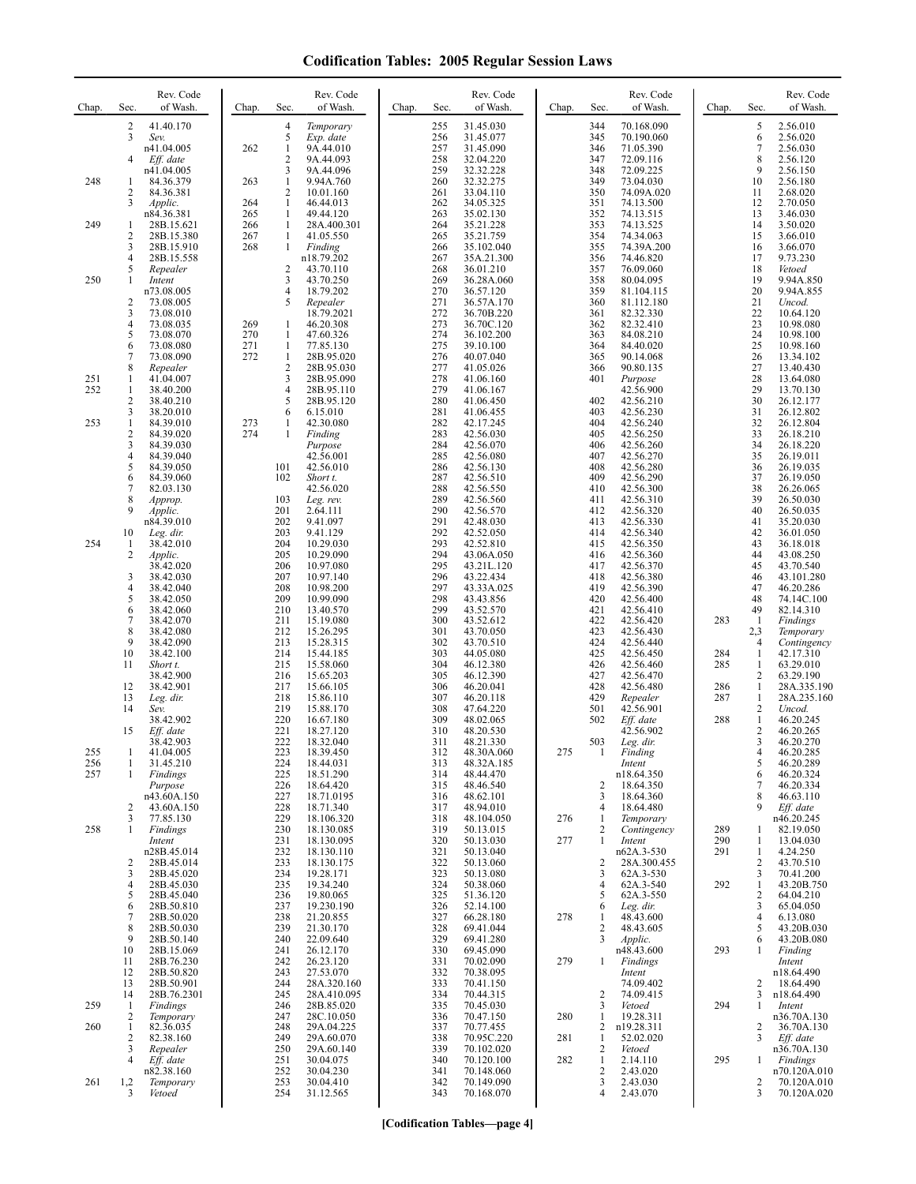| Chap.      | Rev. Code<br>of Wash.<br>Sec.                                                                                                                                                                    | Chap.                    | Rev. Code<br>of Wash.<br>Sec.                                                                                                                                                                                            | Chap.<br>Sec.                                                             | Rev. Code<br>of Wash.                                                                                                                        | Chap.      | Sec.                                                                      | Rev. Code<br>of Wash.                                                                                                                      | Chap.                           | Sec.                                                                           | Rev. Code<br>of Wash.                                                                                                                             |
|------------|--------------------------------------------------------------------------------------------------------------------------------------------------------------------------------------------------|--------------------------|--------------------------------------------------------------------------------------------------------------------------------------------------------------------------------------------------------------------------|---------------------------------------------------------------------------|----------------------------------------------------------------------------------------------------------------------------------------------|------------|---------------------------------------------------------------------------|--------------------------------------------------------------------------------------------------------------------------------------------|---------------------------------|--------------------------------------------------------------------------------|---------------------------------------------------------------------------------------------------------------------------------------------------|
|            | 2<br>41.40.170<br>3<br>Sev.<br>n41.04.005<br>4<br>Eff. date                                                                                                                                      | 262                      | $\overline{4}$<br>Temporary<br>5<br>Exp. date<br>1<br>9A.44.010<br>$\overline{2}$<br>9A.44.093                                                                                                                           | 255<br>256<br>257<br>258                                                  | 31.45.030<br>31.45.077<br>31.45.090<br>32.04.220                                                                                             |            | 344<br>345<br>346<br>347                                                  | 70.168.090<br>70.190.060<br>71.05.390<br>72.09.116                                                                                         |                                 | 5<br>6<br>7<br>8                                                               | 2.56.010<br>2.56.020<br>2.56.030<br>2.56.120                                                                                                      |
| 248        | n41.04.005<br>84.36.379<br>1<br>2<br>84.36.381<br>3<br>Applic.                                                                                                                                   | 263<br>264               | 3<br>9A.44.096<br>$\mathbf{1}$<br>9.94A.760<br>$\overline{2}$<br>10.01.160<br>46.44.013<br>1                                                                                                                             | 259<br>260<br>261<br>262                                                  | 32.32.228<br>32.32.275<br>33.04.110<br>34.05.325                                                                                             |            | 348<br>349<br>350<br>351                                                  | 72.09.225<br>73.04.030<br>74.09A.020<br>74.13.500                                                                                          |                                 | 9<br>10<br>11<br>12                                                            | 2.56.150<br>2.56.180<br>2.68.020<br>2.70.050                                                                                                      |
| 249        | n84.36.381<br>28B.15.621<br>1<br>$\overline{c}$<br>28B.15.380<br>3<br>28B.15.910<br>4<br>28B.15.558                                                                                              | 265<br>266<br>267<br>268 | 1<br>49.44.120<br>$\mathbf{1}$<br>28A.400.301<br>$\mathbf{1}$<br>41.05.550<br>1<br>Finding<br>n18.79.202                                                                                                                 | 263<br>264<br>265<br>266<br>267                                           | 35.02.130<br>35.21.228<br>35.21.759<br>35.102.040<br>35A.21.300                                                                              |            | 352<br>353<br>354<br>355<br>356                                           | 74.13.515<br>74.13.525<br>74.34.063<br>74.39A.200<br>74.46.820                                                                             |                                 | 13<br>14<br>15<br>16<br>17                                                     | 3.46.030<br>3.50.020<br>3.66.010<br>3.66.070<br>9.73.230                                                                                          |
| 250        | 5<br>Repealer<br>1<br>Intent<br>n73.08.005<br>2<br>73.08.005                                                                                                                                     |                          | 2<br>43.70.110<br>3<br>43.70.250<br>$\overline{4}$<br>18.79.202<br>5<br>Repealer                                                                                                                                         | 268<br>269<br>270<br>271                                                  | 36.01.210<br>36.28A.060<br>36.57.120<br>36.57A.170                                                                                           |            | 357<br>358<br>359<br>360                                                  | 76.09.060<br>80.04.095<br>81.104.115<br>81.112.180                                                                                         |                                 | 18<br>19<br>20<br>21                                                           | Vetoed<br>9.94A.850<br>9.94A.855<br>Uncod.                                                                                                        |
|            | 3<br>73.08.010<br>4<br>73.08.035<br>5<br>73.08.070<br>6<br>73.08.080<br>7<br>73.08.090                                                                                                           | 269<br>270<br>271<br>272 | 18.79.2021<br>46.20.308<br>1<br>$\mathbf{1}$<br>47.60.326<br>1<br>77.85.130<br>1<br>28B.95.020                                                                                                                           | 272<br>273<br>274<br>275<br>276                                           | 36.70B.220<br>36.70C.120<br>36.102.200<br>39.10.100<br>40.07.040                                                                             |            | 361<br>362<br>363<br>364<br>365                                           | 82.32.330<br>82.32.410<br>84.08.210<br>84.40.020<br>90.14.068                                                                              |                                 | 22<br>23<br>24<br>25<br>26                                                     | 10.64.120<br>10.98.080<br>10.98.100<br>10.98.160<br>13.34.102                                                                                     |
| 251<br>252 | 8<br>Repealer<br>1<br>41.04.007<br>1<br>38.40.200<br>2<br>38.40.210                                                                                                                              |                          | $\overline{2}$<br>28B.95.030<br>3<br>28B.95.090<br>$\overline{4}$<br>28B.95.110<br>5<br>28B.95.120                                                                                                                       | 277<br>278<br>279<br>280                                                  | 41.05.026<br>41.06.160<br>41.06.167<br>41.06.450                                                                                             |            | 366<br>401<br>402                                                         | 90.80.135<br>Purpose<br>42.56.900<br>42.56.210                                                                                             |                                 | 27<br>28<br>29<br>30                                                           | 13.40.430<br>13.64.080<br>13.70.130<br>26.12.177                                                                                                  |
| 253        | 3<br>38.20.010<br>1<br>84.39.010<br>$\overline{\mathbf{c}}$<br>84.39.020<br>3<br>84.39.030<br>4<br>84.39.040<br>5<br>84.39.050<br>6<br>84.39.060<br>7<br>82.03.130<br>8<br>Approp.               | 273<br>274               | 6<br>6.15.010<br>42.30.080<br>1<br>$\mathbf{1}$<br>Finding<br>Purpose<br>42.56.001<br>101<br>42.56.010<br>102<br>Short t.<br>42.56.020<br>103<br>Leg. rev.                                                               | 281<br>282<br>283<br>284<br>285<br>286<br>287<br>288<br>289               | 41.06.455<br>42.17.245<br>42.56.030<br>42.56.070<br>42.56.080<br>42.56.130<br>42.56.510<br>42.56.550<br>42.56.560                            |            | 403<br>404<br>405<br>406<br>407<br>408<br>409<br>410<br>411               | 42.56.230<br>42.56.240<br>42.56.250<br>42.56.260<br>42.56.270<br>42.56.280<br>42.56.290<br>42.56.300<br>42.56.310                          |                                 | 31<br>32<br>33<br>34<br>35<br>36<br>37<br>38<br>39                             | 26.12.802<br>26.12.804<br>26.18.210<br>26.18.220<br>26.19.011<br>26.19.035<br>26.19.050<br>26.26.065<br>26.50.030                                 |
| 254        | 9<br>Applic.<br>n84.39.010<br>10<br>Leg. dir.<br>38.42.010<br>1<br>2<br>Applic.<br>38.42.020<br>3<br>38.42.030                                                                                   |                          | 201<br>2.64.111<br>202<br>9.41.097<br>203<br>9.41.129<br>204<br>10.29.030<br>205<br>10.29.090<br>206<br>10.97.080<br>207<br>10.97.140                                                                                    | 290<br>291<br>292<br>293<br>294<br>295<br>296                             | 42.56.570<br>42.48.030<br>42.52.050<br>42.52.810<br>43.06A.050<br>43.21L.120<br>43.22.434                                                    |            | 412<br>413<br>414<br>415<br>416<br>417<br>418                             | 42.56.320<br>42.56.330<br>42.56.340<br>42.56.350<br>42.56.360<br>42.56.370<br>42.56.380                                                    |                                 | 40<br>41<br>42<br>43<br>44<br>45<br>46                                         | 26.50.035<br>35.20.030<br>36.01.050<br>36.18.018<br>43.08.250<br>43.70.540<br>43.101.280                                                          |
|            | 4<br>38.42.040<br>5<br>38.42.050<br>6<br>38.42.060<br>7<br>38.42.070<br>8<br>38.42.080<br>9<br>38.42.090<br>10<br>38.42.100<br>11<br>Short t.<br>38.42.900<br>12<br>38.42.901<br>13<br>Leg. dir. |                          | 208<br>10.98.200<br>209<br>10.99.090<br>210<br>13.40.570<br>211<br>15.19.080<br>212<br>15.26.295<br>213<br>15.28.315<br>214<br>15.44.185<br>215<br>15.58.060<br>216<br>15.65.203<br>217<br>15.66.105<br>218<br>15.86.110 | 297<br>298<br>299<br>300<br>301<br>302<br>303<br>304<br>305<br>306<br>307 | 43.33A.025<br>43.43.856<br>43.52.570<br>43.52.612<br>43.70.050<br>43.70.510<br>44.05.080<br>46.12.380<br>46.12.390<br>46.20.041<br>46.20.118 |            | 419<br>420<br>421<br>422<br>423<br>424<br>425<br>426<br>427<br>428<br>429 | 42.56.390<br>42.56.400<br>42.56.410<br>42.56.420<br>42.56.430<br>42.56.440<br>42.56.450<br>42.56.460<br>42.56.470<br>42.56.480<br>Repealer | 283<br>284<br>285<br>286<br>287 | 47<br>48<br>49<br>1<br>2,3<br>4<br>1<br>1<br>2<br>$\mathbf{1}$<br>$\mathbf{1}$ | 46.20.286<br>74.14C.100<br>82.14.310<br>Findings<br>Temporary<br>Contingency<br>42.17.310<br>63.29.010<br>63.29.190<br>28A.335.190<br>28A.235.160 |
| 255        | 14<br>Sev.<br>38.42.902<br>15<br>Eff. date<br>38.42.903<br>41.04.005                                                                                                                             |                          | 219<br>15.88.170<br>220<br>16.67.180<br>221<br>18.27.120<br>222<br>18.32.040<br>223<br>18.39.450                                                                                                                         | 308<br>309<br>310<br>311<br>312                                           | 47.64.220<br>48.02.065<br>48.20.530<br>48.21.330<br>48.30A.060                                                                               | 275        | 501<br>502<br>503                                                         | 42.56.901<br>$Eff.$ date<br>42.56.902<br>Leg. dir.<br>Finding                                                                              | 288                             | 2<br>$\mathbf{1}$<br>2<br>3<br>4                                               | Uncod.<br>46.20.245<br>46.20.265<br>46.20.270<br>46.20.285                                                                                        |
| 256<br>257 | 31.45.210<br>$\mathbf{1}$<br>Findings<br>$\mathbf{1}$<br>Purpose<br>n43.60A.150<br>2<br>43.60A.150                                                                                               |                          | 224<br>18.44.031<br>225<br>18.51.290<br>226<br>18.64.420<br>227<br>18.71.0195<br>228<br>18.71.340                                                                                                                        | 313<br>314<br>315<br>316<br>317                                           | 48.32A.185<br>48.44.470<br>48.46.540<br>48.62.101<br>48.94.010                                                                               |            | $\overline{c}$<br>3<br>4                                                  | Intent<br>n18.64.350<br>18.64.350<br>18.64.360<br>18.64.480                                                                                |                                 | 5<br>6<br>7<br>8<br>9                                                          | 46.20.289<br>46.20.324<br>46.20.334<br>46.63.110<br>Eff. date                                                                                     |
| 258        | 3<br>77.85.130<br>$\mathbf{1}$<br>Findings<br>Intent<br>n28B.45.014                                                                                                                              |                          | 229<br>18.106.320<br>230<br>18.130.085<br>231<br>18.130.095<br>232<br>18.130.110                                                                                                                                         | 318<br>319<br>320<br>321                                                  | 48.104.050<br>50.13.015<br>50.13.030<br>50.13.040                                                                                            | 276<br>277 | 1<br>2<br>1                                                               | Temporary<br>Contingency<br>Intent<br>n62A.3-530                                                                                           | 289<br>290<br>291               | 1<br>1<br>1                                                                    | n46.20.245<br>82.19.050<br>13.04.030<br>4.24.250                                                                                                  |
|            | 28B.45.014<br>2<br>3<br>28B.45.020<br>4<br>28B.45.030<br>5<br>28B.45.040<br>6<br>28B.50.810<br>7<br>28B.50.020<br>8<br>28B.50.030                                                                |                          | 233<br>18.130.175<br>234<br>19.28.171<br>19.34.240<br>235<br>19.80.065<br>236<br>237<br>19.230.190<br>238<br>21.20.855<br>239<br>21.30.170                                                                               | 322<br>323<br>324<br>325<br>326<br>327<br>328                             | 50.13.060<br>50.13.080<br>50.38.060<br>51.36.120<br>52.14.100<br>66.28.180<br>69.41.044                                                      | 278        | 2<br>3<br>4<br>5<br>6<br>1<br>2                                           | 28A.300.455<br>62A.3-530<br>62A.3-540<br>62A.3-550<br>Leg. dir.<br>48.43.600<br>48.43.605                                                  | 292                             | 2<br>3<br>1<br>2<br>3<br>$\overline{4}$<br>5                                   | 43.70.510<br>70.41.200<br>43.20B.750<br>64.04.210<br>65.04.050<br>6.13.080<br>43.20B.030                                                          |
|            | 9<br>28B.50.140<br>10<br>28B.15.069<br>28B.76.230<br>11<br>12<br>28B.50.820<br>13<br>28B.50.901                                                                                                  |                          | 22.09.640<br>240<br>26.12.170<br>241<br>242<br>26.23.120<br>243<br>27.53.070<br>244<br>28A.320.160                                                                                                                       | 329<br>330<br>331<br>332<br>333                                           | 69.41.280<br>69.45.090<br>70.02.090<br>70.38.095<br>70.41.150                                                                                | 279        | 3<br>1                                                                    | Applic.<br>n48.43.600<br>Findings<br>Intent<br>74.09.402                                                                                   | 293                             | 6<br>1<br>2                                                                    | 43.20B.080<br>Finding<br>Intent<br>n18.64.490<br>18.64.490                                                                                        |
| 259<br>260 | 28B.76.2301<br>14<br>1<br>Findings<br>$\overline{2}$<br>Temporary<br>82.36.035<br>1                                                                                                              |                          | 245<br>28A.410.095<br>28B.85.020<br>246<br>247<br>28C.10.050<br>248<br>29A.04.225                                                                                                                                        | 334<br>335<br>336<br>337                                                  | 70.44.315<br>70.45.030<br>70.47.150<br>70.77.455                                                                                             | 280        | $\overline{\mathbf{c}}$<br>3<br>1<br>2                                    | 74.09.415<br>Vetoed<br>19.28.311<br>n19.28.311                                                                                             | 294                             | 3<br>1<br>2                                                                    | n18.64.490<br>Intent<br>n36.70A.130<br>36.70A.130                                                                                                 |
| 261        | 2<br>82.38.160<br>3<br>Repealer<br>$\overline{4}$<br>Eff. date<br>n82.38.160<br>1,2<br>Temporary<br>3<br>Vetoed                                                                                  |                          | 249<br>29A.60.070<br>250<br>29A.60.140<br>251<br>30.04.075<br>252<br>30.04.230<br>253<br>30.04.410<br>254<br>31.12.565                                                                                                   | 338<br>339<br>340<br>341<br>342<br>343                                    | 70.95C.220<br>70.102.020<br>70.120.100<br>70.148.060<br>70.149.090<br>70.168.070                                                             | 281<br>282 | 1<br>2<br>1<br>$\overline{c}$<br>3<br>4                                   | 52.02.020<br>Vetoed<br>2.14.110<br>2.43.020<br>2.43.030<br>2.43.070                                                                        | 295                             | 3<br>1<br>2<br>3                                                               | Eff. date<br>n36.70A.130<br>Findings<br>n70.120A.010<br>70.120A.010<br>70.120A.020                                                                |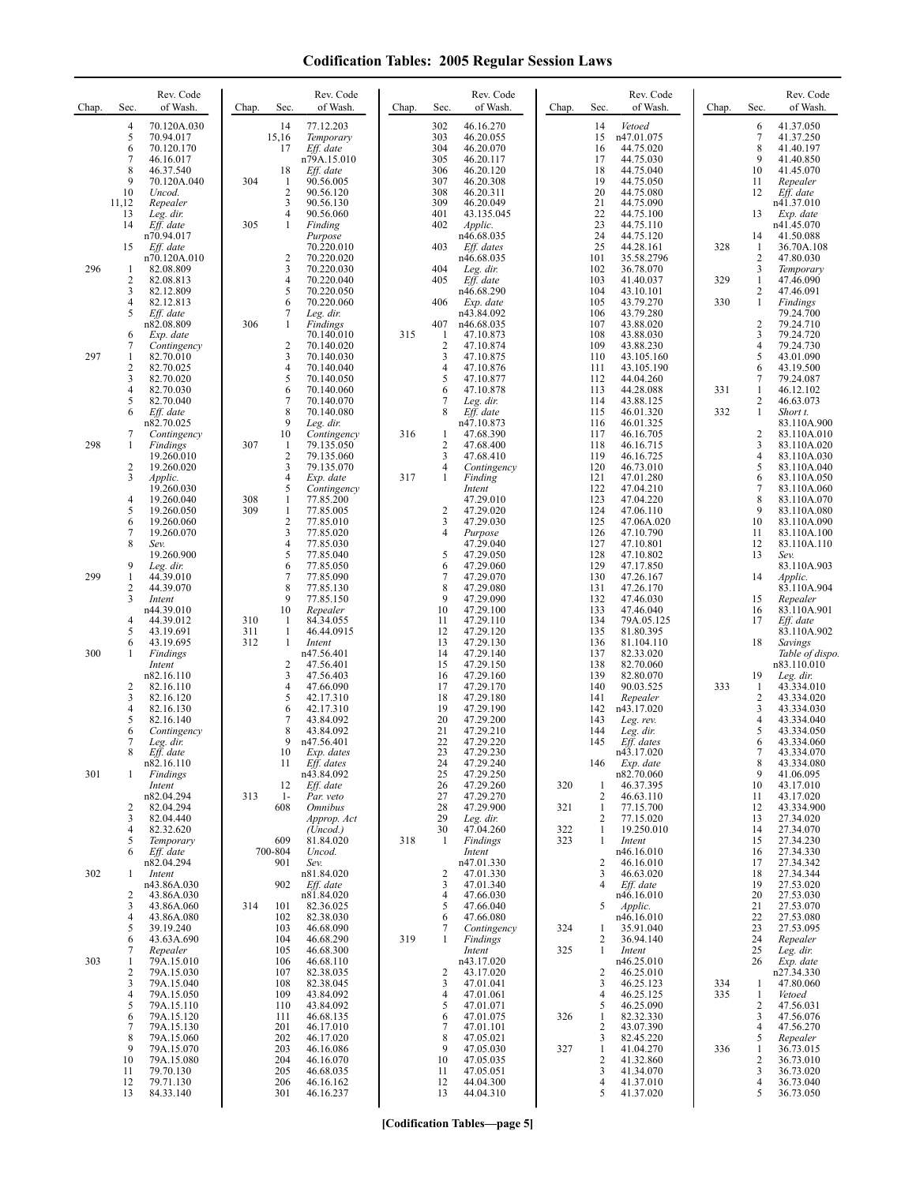| Chap. | Sec.                                                       | Rev. Code<br>of Wash.                                                            | Chap.      | Sec.                                             | Rev. Code<br>of Wash.                                                         | Chap. | Sec.                                         | Rev. Code<br>of Wash.                                                       | Chap.      | Sec.                                   | Rev. Code<br>of Wash.                                                       | Chap.      | Sec.                                                       | Rev. Code<br>of Wash.                                                                  |
|-------|------------------------------------------------------------|----------------------------------------------------------------------------------|------------|--------------------------------------------------|-------------------------------------------------------------------------------|-------|----------------------------------------------|-----------------------------------------------------------------------------|------------|----------------------------------------|-----------------------------------------------------------------------------|------------|------------------------------------------------------------|----------------------------------------------------------------------------------------|
|       | $\overline{4}$<br>5<br>6<br>$\overline{7}$<br>8<br>9       | 70.120A.030<br>70.94.017<br>70.120.170<br>46.16.017<br>46.37.540<br>70.120A.040  | 304        | 14<br>15,16<br>17<br>18<br>$\mathbf{1}$          | 77.12.203<br>Temporary<br>Eff. date<br>n79A.15.010<br>Eff. date<br>90.56.005  |       | 302<br>303<br>304<br>305<br>306<br>307       | 46.16.270<br>46.20.055<br>46.20.070<br>46.20.117<br>46.20.120<br>46.20.308  |            | 14<br>15<br>16<br>17<br>18<br>19       | Vetoed<br>n47.01.075<br>44.75.020<br>44.75.030<br>44.75.040<br>44.75.050    |            | 6<br>7<br>8<br>9<br>10<br>11                               | 41.37.050<br>41.37.250<br>41.40.197<br>41.40.850<br>41.45.070<br>Repealer              |
|       | 10<br>11,12<br>13<br>14                                    | Uncod.<br>Repealer<br>Leg. dir.<br>Eff. date<br>n70.94.017                       | 305        | 2<br>3<br>4<br>$\mathbf{1}$                      | 90.56.120<br>90.56.130<br>90.56.060<br>Finding<br>Purpose                     |       | 308<br>309<br>401<br>402                     | 46.20.311<br>46.20.049<br>43.135.045<br>Applic.<br>n46.68.035               |            | 20<br>21<br>22<br>23<br>24             | 44.75.080<br>44.75.090<br>44.75.100<br>44.75.110<br>44.75.120               |            | 12<br>13<br>14                                             | Eff. date<br>n41.37.010<br>Exp. date<br>n41.45.070<br>41.50.088                        |
| 296   | 15<br>-1<br>$\sqrt{2}$<br>3                                | Eff. date<br>n70.120A.010<br>82.08.809<br>82.08.813<br>82.12.809                 |            | 2<br>3<br>4<br>5                                 | 70.220.010<br>70.220.020<br>70.220.030<br>70.220.040<br>70.220.050            |       | 403<br>404<br>405                            | Eff. dates<br>n46.68.035<br>Leg. dir.<br>Eff. date<br>n46.68.290            |            | 25<br>101<br>102<br>103<br>104         | 44.28.161<br>35.58.2796<br>36.78.070<br>41.40.037<br>43.10.101              | 328<br>329 | 1<br>$\overline{c}$<br>3<br>$\mathbf{1}$<br>$\overline{c}$ | 36.70A.108<br>47.80.030<br>Temporary<br>47.46.090<br>47.46.091                         |
|       | $\overline{4}$<br>5<br>6<br>7                              | 82.12.813<br>Eff. date<br>n82.08.809<br>Exp. date<br>Contingency                 | 306        | 6<br>7<br>1<br>2                                 | 70.220.060<br>Leg. dir.<br>Findings<br>70.140.010<br>70.140.020               | 315   | 406<br>407<br>$\mathbf{1}$<br>$\overline{2}$ | Exp. date<br>n43.84.092<br>n46.68.035<br>47.10.873<br>47.10.874             |            | 105<br>106<br>107<br>108<br>109        | 43.79.270<br>43.79.280<br>43.88.020<br>43.88.030<br>43.88.230               | 330        | 1<br>$\overline{c}$<br>3<br>$\overline{4}$                 | Findings<br>79.24.700<br>79.24.710<br>79.24.720<br>79.24.730                           |
| 297   | $\mathbf{1}$<br>$\overline{2}$<br>3<br>$\overline{4}$<br>5 | 82.70.010<br>82.70.025<br>82.70.020<br>82.70.030<br>82.70.040                    |            | 3<br>4<br>5<br>6<br>$\overline{7}$               | 70.140.030<br>70.140.040<br>70.140.050<br>70.140.060<br>70.140.070            |       | 3<br>4<br>5<br>6<br>7                        | 47.10.875<br>47.10.876<br>47.10.877<br>47.10.878<br>Leg. dir.               |            | 110<br>111<br>112<br>113<br>114        | 43.105.160<br>43.105.190<br>44.04.260<br>44.28.088<br>43.88.125             | 331        | 5<br>6<br>7<br>1<br>$\overline{c}$                         | 43.01.090<br>43.19.500<br>79.24.087<br>46.12.102<br>46.63.073                          |
| 298   | 6<br>7<br>-1                                               | Eff. date<br>n82.70.025<br>Contingency<br>Findings<br>19.260.010                 | 307        | 8<br>9<br>10<br>$\mathbf{1}$<br>2                | 70.140.080<br>Leg. dir.<br>Contingency<br>79.135.050<br>79.135.060            | 316   | 8<br>1<br>$\overline{2}$<br>3                | Eff. date<br>n47.10.873<br>47.68.390<br>47.68.400<br>47.68.410              |            | 115<br>116<br>117<br>118<br>119        | 46.01.320<br>46.01.325<br>46.16.705<br>46.16.715<br>46.16.725               | 332        | $\mathbf{1}$<br>2<br>3<br>$\overline{4}$                   | Short t.<br>83.110A.900<br>83.110A.010<br>83.110A.020<br>83.110A.030                   |
|       | $\overline{c}$<br>3<br>$\overline{4}$<br>5<br>6            | 19.260.020<br>Applic.<br>19.260.030<br>19.260.040<br>19.260.050<br>19.260.060    | 308<br>309 | 3<br>4<br>5<br>$\mathbf{1}$<br>$\mathbf{1}$<br>2 | 79.135.070<br>Exp. date<br>Contingency<br>77.85.200<br>77.85.005<br>77.85.010 | 317   | 4<br>1<br>$\overline{c}$<br>3                | Contingency<br>Finding<br>Intent<br>47.29.010<br>47.29.020<br>47.29.030     |            | 120<br>121<br>122<br>123<br>124<br>125 | 46.73.010<br>47.01.280<br>47.04.210<br>47.04.220<br>47.06.110<br>47.06A.020 |            | 5<br>6<br>7<br>8<br>9<br>10                                | 83.110A.040<br>83.110A.050<br>83.110A.060<br>83.110A.070<br>83.110A.080<br>83.110A.090 |
| 299   | $\overline{7}$<br>8<br>9<br>$\mathbf{1}$                   | 19.260.070<br>Sev.<br>19.260.900<br>Leg. dir.<br>44.39.010                       |            | 3<br>4<br>5<br>6<br>7                            | 77.85.020<br>77.85.030<br>77.85.040<br>77.85.050<br>77.85.090                 |       | 4<br>5<br>6<br>7                             | Purpose<br>47.29.040<br>47.29.050<br>47.29.060<br>47.29.070                 |            | 126<br>127<br>128<br>129<br>130        | 47.10.790<br>47.10.801<br>47.10.802<br>47.17.850<br>47.26.167               |            | 11<br>12<br>13<br>14                                       | 83.110A.100<br>83.110A.110<br>Sev.<br>83.110A.903<br>Applic.                           |
|       | 2<br>3<br>$\overline{4}$<br>5                              | 44.39.070<br>Intent<br>n44.39.010<br>44.39.012<br>43.19.691                      | 310<br>311 | 8<br>9<br>10<br>-1<br>$\mathbf{1}$               | 77.85.130<br>77.85.150<br>Repealer<br>84.34.055<br>46.44.0915                 |       | 8<br>9<br>10<br>11<br>12                     | 47.29.080<br>47.29.090<br>47.29.100<br>47.29.110<br>47.29.120               |            | 131<br>132<br>133<br>134<br>135        | 47.26.170<br>47.46.030<br>47.46.040<br>79A.05.125<br>81.80.395              |            | 15<br>16<br>17                                             | 83.110A.904<br>Repealer<br>83.110A.901<br>Eff. date<br>83.110A.902                     |
| 300   | 6<br>1<br>2<br>3                                           | 43.19.695<br>Findings<br>Intent<br>n82.16.110<br>82.16.110<br>82.16.120          | 312        | 1<br>2<br>3<br>4<br>5                            | Intent<br>n47.56.401<br>47.56.401<br>47.56.403<br>47.66.090<br>42.17.310      |       | 13<br>14<br>15<br>16<br>17<br>18             | 47.29.130<br>47.29.140<br>47.29.150<br>47.29.160<br>47.29.170<br>47.29.180  |            | 136<br>137<br>138<br>139<br>140<br>141 | 81.104.110<br>82.33.020<br>82.70.060<br>82.80.070<br>90.03.525<br>Repealer  | 333        | 18<br>19<br>1<br>$\overline{c}$                            | Savings<br>Table of dispo.<br>n83.110.010<br>Leg. dir.<br>43.334.010<br>43.334.020     |
|       | $\overline{4}$<br>5<br>6<br>7                              | 82.16.130<br>82.16.140<br>Contingency<br>Leg. dir.<br>Eff. date<br>n82.16.110    |            | 6<br>7<br>8<br>9<br>10                           | 42.17.310<br>43.84.092<br>43.84.092<br>n47.56.401<br>Exp. dates<br>Eff. dates |       | 19<br>20<br>21<br>22<br>23<br>24             | 47.29.190<br>47.29.200<br>47.29.210<br>47.29.220<br>47.29.230               |            | 142<br>143<br>144<br>145               | n43.17.020<br>Leg. rev.<br>Leg. dir.<br>$Eff.$ dates<br>n43.17.020          |            | 3<br>$\overline{4}$<br>5<br>6<br>7<br>8                    | 43.334.030<br>43.334.040<br>43.334.050<br>43.334.060<br>43.334.070                     |
| 301   | 1<br>2<br>3                                                | Findings<br>Intent<br>n82.04.294<br>82.04.294<br>82.04.440                       | 313        | 11<br>12<br>$1-$<br>608                          | n43.84.092<br>Eff. date<br>Par. veto<br><i><b>Omnibus</b></i><br>Approp. Act  |       | 25<br>26<br>27<br>28<br>29                   | 47.29.240<br>47.29.250<br>47.29.260<br>47.29.270<br>47.29.900<br>Leg. dir.  | 320<br>321 | 146<br>1<br>2<br>1<br>2                | Exp. date<br>n82.70.060<br>46.37.395<br>46.63.110<br>77.15.700<br>77.15.020 |            | 9<br>10<br>11<br>12<br>13                                  | 43.334.080<br>41.06.095<br>43.17.010<br>43.17.020<br>43.334.900<br>27.34.020           |
| 302   | $\overline{4}$<br>5<br>6<br>-1                             | 82.32.620<br>Temporary<br>Eff. date<br>n82.04.294<br>Intent                      |            | 609<br>700-804<br>901                            | (Uncod.)<br>81.84.020<br>Uncod.<br>Sev.<br>n81.84.020                         | 318   | 30<br>1<br>$\overline{c}$                    | 47.04.260<br>Findings<br>Intent<br>n47.01.330<br>47.01.330                  | 322<br>323 | 1<br>-1<br>2<br>3                      | 19.250.010<br>Intent<br>n46.16.010<br>46.16.010<br>46.63.020                |            | 14<br>15<br>16<br>17<br>18                                 | 27.34.070<br>27.34.230<br>27.34.330<br>27.34.342<br>27.34.344                          |
|       | $\overline{c}$<br>3<br>$\overline{4}$<br>5<br>6            | n43.86A.030<br>43.86A.030<br>43.86A.060<br>43.86A.080<br>39.19.240<br>43.63A.690 | 314        | 902<br>101<br>102<br>103<br>104                  | Eff. date<br>n81.84.020<br>82.36.025<br>82.38.030<br>46.68.090<br>46.68.290   | 319   | 3<br>$\overline{4}$<br>5<br>6<br>7<br>1      | 47.01.340<br>47.66.030<br>47.66.040<br>47.66.080<br>Contingency<br>Findings | 324        | 4<br>5<br>1<br>2                       | Eff. date<br>n46.16.010<br>Applic.<br>n46.16.010<br>35.91.040<br>36.94.140  |            | 19<br>20<br>21<br>22<br>23<br>24                           | 27.53.020<br>27.53.030<br>27.53.070<br>27.53.080<br>27.53.095<br>Repealer              |
| 303   | 7<br>1<br>$\overline{2}$<br>3<br>$\overline{4}$            | Repealer<br>79A.15.010<br>79A.15.030<br>79A.15.040<br>79A.15.050                 |            | 105<br>106<br>107<br>108<br>109                  | 46.68.300<br>46.68.110<br>82.38.035<br>82.38.045<br>43.84.092                 |       | $\overline{2}$<br>3<br>$\overline{4}$        | Intent<br>n43.17.020<br>43.17.020<br>47.01.041<br>47.01.061                 | 325        | 1<br>2<br>3<br>$\overline{4}$          | Intent<br>n46.25.010<br>46.25.010<br>46.25.123<br>46.25.125                 | 334<br>335 | 25<br>26<br>$\mathbf{1}$<br>$\mathbf{1}$                   | Leg. dir.<br>Exp. date<br>n27.34.330<br>47.80.060<br>Vetoed                            |
|       | 5<br>6<br>$\overline{7}$<br>8<br>9                         | 79A.15.110<br>79A.15.120<br>79A.15.130<br>79A.15.060<br>79A.15.070               |            | 110<br>111<br>201<br>202<br>203                  | 43.84.092<br>46.68.135<br>46.17.010<br>46.17.020<br>46.16.086                 |       | 5<br>6<br>7<br>8<br>9                        | 47.01.071<br>47.01.075<br>47.01.101<br>47.05.021<br>47.05.030               | 326<br>327 | 5<br>1<br>2<br>3<br>1                  | 46.25.090<br>82.32.330<br>43.07.390<br>82.45.220<br>41.04.270               | 336        | 2<br>3<br>4<br>5<br>1                                      | 47.56.031<br>47.56.076<br>47.56.270<br>Repealer<br>36.73.015                           |
|       | 10<br>11<br>12<br>13                                       | 79A.15.080<br>79.70.130<br>79.71.130<br>84.33.140                                |            | 204<br>205<br>206<br>301                         | 46.16.070<br>46.68.035<br>46.16.162<br>46.16.237                              |       | 10<br>11<br>12<br>13                         | 47.05.035<br>47.05.051<br>44.04.300<br>44.04.310                            |            | 2<br>3<br>4<br>5                       | 41.32.860<br>41.34.070<br>41.37.010<br>41.37.020                            |            | $\overline{c}$<br>3<br>$\overline{4}$<br>5                 | 36.73.010<br>36.73.020<br>36.73.040<br>36.73.050                                       |

**[Codification Tables—page 5]**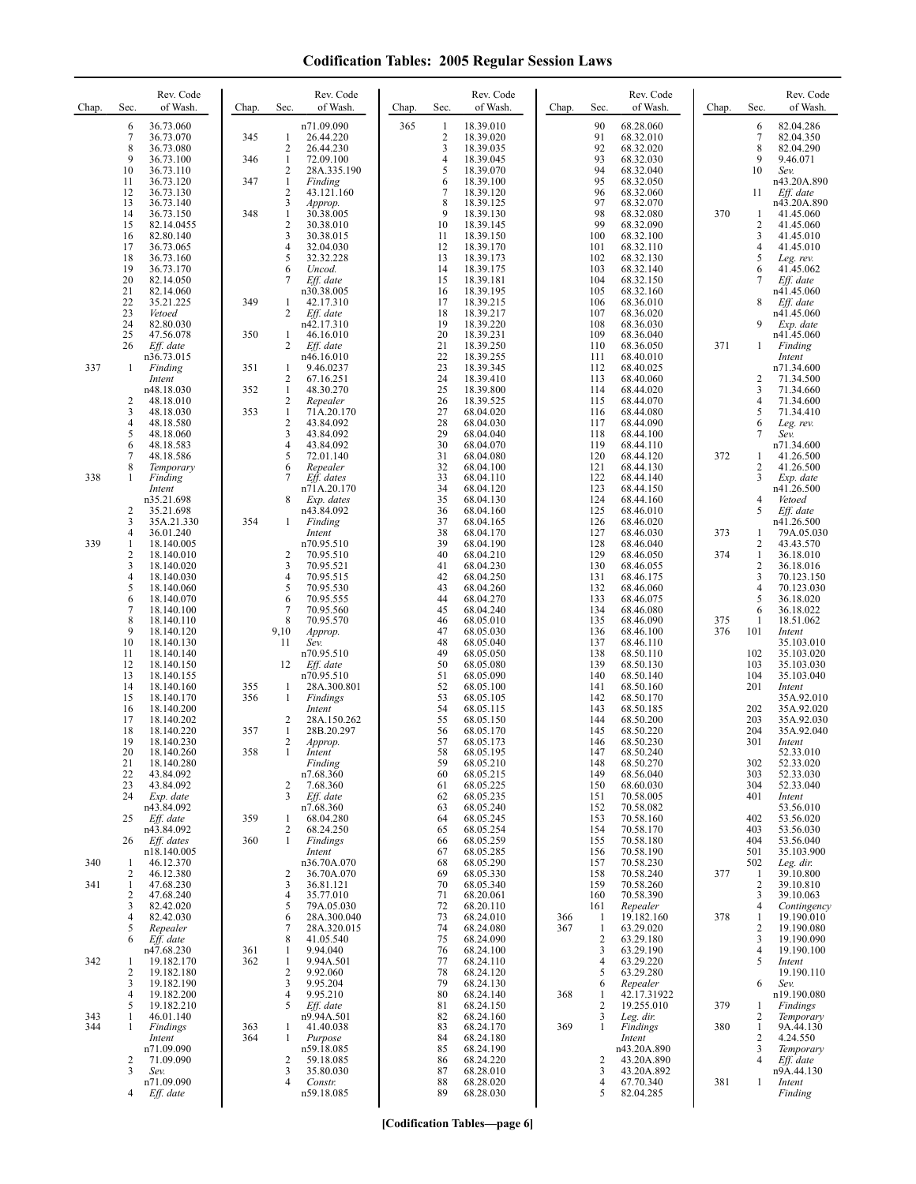| Chap. | Sec.                | Rev. Code<br>of Wash.     | Chap.      | Rev. Code<br>of Wash.<br>Sec.                         | Chap. | Sec.                         | Rev. Code<br>of Wash.  | Chap. | Sec.                 | Rev. Code<br>of Wash.     | Chap. | Sec.                | Rev. Code<br>of Wash.     |
|-------|---------------------|---------------------------|------------|-------------------------------------------------------|-------|------------------------------|------------------------|-------|----------------------|---------------------------|-------|---------------------|---------------------------|
|       | 6<br>7              | 36.73.060<br>36.73.070    | 345        | n71.09.090<br>$\mathbf{1}$<br>26.44.220               | 365   | 1<br>$\overline{\mathbf{c}}$ | 18.39.010<br>18.39.020 |       | 90<br>91             | 68.28.060<br>68.32.010    |       | 6<br>7              | 82.04.286<br>82.04.350    |
|       | 8<br>9              | 36.73.080<br>36.73.100    | 346        | 2<br>26.44.230<br>$\mathbf{1}$<br>72.09.100           |       | 3<br>4                       | 18.39.035<br>18.39.045 |       | 92<br>93             | 68.32.020<br>68.32.030    |       | 8<br>9              | 82.04.290<br>9.46.071     |
|       | 10<br>11            | 36.73.110<br>36.73.120    | 347        | 2<br>28A.335.190<br>$\mathbf{1}$<br>Finding           |       | 5<br>6                       | 18.39.070<br>18.39.100 |       | 94<br>95             | 68.32.040<br>68.32.050    |       | 10                  | Sev.<br>n43.20A.890       |
|       | 12<br>13            | 36.73.130                 |            | $\overline{2}$<br>43.121.160<br>3                     |       | 7<br>8                       | 18.39.120              |       | 96<br>97             | 68.32.060                 |       | 11                  | Eff. date                 |
|       | 14                  | 36.73.140<br>36.73.150    | 348        | Approp.<br>$\mathbf{1}$<br>30.38.005                  |       | 9                            | 18.39.125<br>18.39.130 |       | 98                   | 68.32.070<br>68.32.080    | 370   | 1                   | n43.20A.890<br>41.45.060  |
|       | 15<br>16            | 82.14.0455<br>82.80.140   |            | $\mathbf{2}$<br>30.38.010<br>3<br>30.38.015           |       | 10<br>11                     | 18.39.145<br>18.39.150 |       | 99<br>100            | 68.32.090<br>68.32.100    |       | 2<br>3              | 41.45.060<br>41.45.010    |
|       | 17<br>18            | 36.73.065<br>36.73.160    |            | $\overline{4}$<br>32.04.030<br>5<br>32.32.228         |       | 12<br>13                     | 18.39.170<br>18.39.173 |       | 101<br>102           | 68.32.110<br>68.32.130    |       | 4<br>5              | 41.45.010<br>Leg. rev.    |
|       | 19<br>20            | 36.73.170<br>82.14.050    |            | 6<br>Uncod.<br>7<br>Eff. date                         |       | 14<br>15                     | 18.39.175<br>18.39.181 |       | 103<br>104           | 68.32.140<br>68.32.150    |       | 6<br>7              | 41.45.062<br>Eff. date    |
|       | 21<br>22            | 82.14.060<br>35.21.225    | 349        | n30.38.005<br>42.17.310<br>1                          |       | 16<br>17                     | 18.39.195<br>18.39.215 |       | 105<br>106           | 68.32.160<br>68.36.010    |       | 8                   | n41.45.060<br>Eff. date   |
|       | 23<br>24            | Vetoed<br>82.80.030       |            | $\overline{c}$<br>Eff. date<br>n42.17.310             |       | 18<br>19                     | 18.39.217<br>18.39.220 |       | 107<br>108           | 68.36.020<br>68.36.030    |       | 9                   | n41.45.060<br>Exp. date   |
|       | 25<br>26            | 47.56.078<br>Eff. date    | 350        | 46.16.010<br>1<br>2<br>Eff. date                      |       | 20<br>21                     | 18.39.231<br>18.39.250 |       | 109<br>110           | 68.36.040<br>68.36.050    | 371   | 1                   | n41.45.060<br>Finding     |
| 337   | 1                   | n36.73.015<br>Finding     | 351        | n46.16.010<br>9.46.0237<br>1                          |       | 22<br>23                     | 18.39.255<br>18.39.345 |       | 111<br>112           | 68.40.010<br>68.40.025    |       |                     | Intent<br>n71.34.600      |
|       |                     | Intent<br>n48.18.030      | 352        | 2<br>67.16.251<br>$\mathbf{1}$<br>48.30.270           |       | 24<br>25                     | 18.39.410<br>18.39.800 |       | 113<br>114           | 68.40.060<br>68.44.020    |       | 2<br>3              | 71.34.500<br>71.34.660    |
|       | 2<br>3              | 48.18.010<br>48.18.030    | 353        | 2<br>Repealer<br>$\mathbf{1}$<br>71A.20.170           |       | 26<br>27                     | 18.39.525<br>68.04.020 |       | 115<br>116           | 68.44.070<br>68.44.080    |       | 4<br>5              | 71.34.600<br>71.34.410    |
|       | 4<br>5              | 48.18.580                 |            | $\mathbf{2}$<br>43.84.092<br>3                        |       | 28<br>29                     | 68.04.030              |       | 117                  | 68.44.090                 |       | 6                   | Leg. rev.                 |
|       | 6                   | 48.18.060<br>48.18.583    |            | 43.84.092<br>4<br>43.84.092                           |       | 30                           | 68.04.040<br>68.04.070 |       | 118<br>119           | 68.44.100<br>68.44.110    |       | 7                   | Sev.<br>n71.34.600        |
|       | $\overline{7}$<br>8 | 48.18.586<br>Temporary    |            | 5<br>72.01.140<br>6<br>Repealer                       |       | 31<br>32                     | 68.04.080<br>68.04.100 |       | 120<br>121           | 68.44.120<br>68.44.130    | 372   | 1<br>2              | 41.26.500<br>41.26.500    |
| 338   | 1                   | Finding<br>Intent         |            | 7<br>Eff. dates<br>n71A.20.170                        |       | 33<br>34                     | 68.04.110<br>68.04.120 |       | 122<br>123           | 68.44.140<br>68.44.150    |       | 3                   | Exp. date<br>n41.26.500   |
|       | $\overline{2}$      | n35.21.698<br>35.21.698   |            | 8<br>Exp. dates<br>n43.84.092                         |       | 35<br>36                     | 68.04.130<br>68.04.160 |       | 124<br>125           | 68.44.160<br>68.46.010    |       | 4<br>5              | Vetoed<br>Eff. date       |
|       | 3<br>4              | 35A.21.330<br>36.01.240   | 354        | Finding<br>$\mathbf{1}$<br>Intent                     |       | 37<br>38                     | 68.04.165<br>68.04.170 |       | 126<br>127           | 68.46.020<br>68.46.030    | 373   | 1                   | n41.26.500<br>79A.05.030  |
| 339   | 1<br>$\overline{c}$ | 18.140.005<br>18.140.010  |            | n70.95.510<br>$\overline{c}$<br>70.95.510             |       | 39<br>40                     | 68.04.190<br>68.04.210 |       | 128<br>129           | 68.46.040<br>68.46.050    | 374   | 2<br>1              | 43.43.570<br>36.18.010    |
|       | 3<br>$\overline{4}$ | 18.140.020<br>18.140.030  |            | 3<br>70.95.521<br>$\overline{4}$<br>70.95.515         |       | 41<br>42                     | 68.04.230<br>68.04.250 |       | 130<br>131           | 68.46.055<br>68.46.175    |       | $\overline{c}$<br>3 | 36.18.016<br>70.123.150   |
|       | 5<br>6              | 18.140.060<br>18.140.070  |            | 5<br>70.95.530<br>6<br>70.95.555                      |       | 43<br>44                     | 68.04.260<br>68.04.270 |       | 132<br>133           | 68.46.060<br>68.46.075    |       | 4<br>5              | 70.123.030<br>36.18.020   |
|       | 7<br>8              | 18.140.100<br>18.140.110  |            | 7<br>70.95.560<br>8<br>70.95.570                      |       | 45<br>46                     | 68.04.240<br>68.05.010 |       | 134<br>135           | 68.46.080<br>68.46.090    | 375   | 6<br>-1             | 36.18.022<br>18.51.062    |
|       | 9<br>10             | 18.140.120<br>18.140.130  |            | 9,10<br>Approp.<br>11<br>Sev.                         |       | 47<br>48                     | 68.05.030<br>68.05.040 |       | 136<br>137           | 68.46.100<br>68.46.110    | 376   | 101                 | Intent<br>35.103.010      |
|       | 11<br>12            | 18.140.140<br>18.140.150  |            | n70.95.510<br>12<br>Eff. date                         |       | 49<br>50                     | 68.05.050<br>68.05.080 |       | 138<br>139           | 68.50.110<br>68.50.130    |       | 102<br>103          | 35.103.020<br>35.103.030  |
|       | 13<br>14            | 18.140.155<br>18.140.160  | 355        | n70.95.510<br>28A.300.801<br>1                        |       | 51<br>52                     | 68.05.090<br>68.05.100 |       | 140<br>141           | 68.50.140<br>68.50.160    |       | 104<br>201          | 35.103.040<br>Intent      |
|       | 15                  | 18.140.170                | 356        | 1<br>Findings                                         |       | 53<br>54                     | 68.05.105              |       | 142                  | 68.50.170                 |       |                     | 35A.92.010                |
|       | 16<br>17            | 18.140.200<br>18.140.202  |            | Intent<br>2<br>28A.150.262                            |       | 55                           | 68.05.115<br>68.05.150 |       | 143<br>144           | 68.50.185<br>68.50.200    |       | 202<br>203          | 35A.92.020<br>35A.92.030  |
|       | 18<br>19            | 18.140.220<br>18.140.230  | 357        | $\mathbf{1}$<br>28B.20.297<br>2<br>Approp.            |       | 56<br>57                     | 68.05.170<br>68.05.173 |       | 145<br>146           | 68.50.220<br>68.50.230    |       | 204<br>301          | 35A.92.040<br>Intent      |
|       | 20<br>21            | 18.140.260<br>18.140.280  | 358        | Intent<br>Finding                                     |       | 58<br>59                     | 68.05.195<br>68.05.210 |       | 147<br>148           | 68.50.240<br>68.50.270    |       | 302                 | 52.33.010<br>52.33.020    |
|       | 22<br>23            | 43.84.092<br>43.84.092    |            | n7.68.360<br>$\overline{2}$<br>7.68.360               |       | 60<br>61                     | 68.05.215<br>68.05.225 |       | 149<br>150           | 68.56.040<br>68.60.030    |       | 303<br>304          | 52.33.030<br>52.33.040    |
|       | 24                  | Exp. date<br>n43.84.092   |            | 3<br>Eff. date<br>n7.68.360                           |       | 62<br>63                     | 68.05.235<br>68.05.240 |       | 151<br>152           | 70.58.005<br>70.58.082    |       | 401                 | Intent<br>53.56.010       |
|       | 25                  | Eff. date<br>n43.84.092   | 359        | 68.04.280<br>1<br>$\overline{2}$<br>68.24.250         |       | 64<br>65                     | 68.05.245<br>68.05.254 |       | 153<br>154           | 70.58.160<br>70.58.170    |       | 402<br>403          | 53.56.020<br>53.56.030    |
|       | 26                  | Eff. dates<br>n18.140.005 | 360        | $\mathbf{1}$<br>Findings<br>Intent                    |       | 66<br>67                     | 68.05.259<br>68.05.285 |       | 155<br>156           | 70.58.180<br>70.58.190    |       | 404<br>501          | 53.56.040<br>35.103.900   |
| 340   | 1<br>2              | 46.12.370<br>46.12.380    |            | n36.70A.070<br>2<br>36.70A.070                        |       | 68<br>69                     | 68.05.290<br>68.05.330 |       | 157<br>158           | 70.58.230<br>70.58.240    | 377   | 502<br>1            | Leg. dir.<br>39.10.800    |
| 341   | 1<br>2              | 47.68.230<br>47.68.240    |            | 3<br>36.81.121<br>$\overline{4}$<br>35.77.010         |       | 70<br>71                     | 68.05.340<br>68.20.061 |       | 159<br>160           | 70.58.260<br>70.58.390    |       | $\overline{c}$<br>3 | 39.10.810<br>39.10.063    |
|       | 3<br>$\overline{4}$ | 82.42.020<br>82.42.030    |            | 5<br>79A.05.030<br>6<br>28A.300.040                   |       | 72<br>73                     | 68.20.110<br>68.24.010 | 366   | 161<br>-1            | Repealer<br>19.182.160    | 378   | $\overline{4}$<br>1 | Contingency<br>19.190.010 |
|       | 5<br>6              | Repealer<br>Eff. date     |            | 7<br>28A.320.015<br>8<br>41.05.540                    |       | 74<br>75                     | 68.24.080<br>68.24.090 | 367   | -1<br>$\overline{2}$ | 63.29.020<br>63.29.180    |       | 2<br>3              | 19.190.080<br>19.190.090  |
| 342   | 1                   | n47.68.230<br>19.182.170  | 361<br>362 | 9.94.040<br>$\mathbf{1}$<br>$\mathbf{1}$<br>9.94A.501 |       | 76<br>77                     | 68.24.100<br>68.24.110 |       | 3<br>$\overline{4}$  | 63.29.190<br>63.29.220    |       | $\overline{4}$<br>5 | 19.190.100<br>Intent      |
|       | $\overline{2}$<br>3 | 19.182.180<br>19.182.190  |            | $\overline{2}$<br>9.92.060<br>3<br>9.95.204           |       | 78<br>79                     | 68.24.120<br>68.24.130 |       | 5<br>6               | 63.29.280                 |       | 6                   | 19.190.110<br>Sev.        |
|       | 4                   | 19.182.200                |            | $\overline{4}$<br>9.95.210<br>5                       |       | 80                           | 68.24.140              | 368   | 1<br>$\overline{2}$  | Repealer<br>42.17.31922   |       |                     | n19.190.080               |
| 343   | 5<br>1              | 19.182.210<br>46.01.140   |            | Eff. date<br>n9.94A.501                               |       | 81<br>82                     | 68.24.150<br>68.24.160 |       | 3                    | 19.255.010<br>Leg. dir.   | 379   | 1<br>2              | Findings<br>Temporary     |
| 344   | 1                   | Findings<br>Intent        | 363<br>364 | 41.40.038<br>1<br>Purpose<br>1                        |       | 83<br>84                     | 68.24.170<br>68.24.180 | 369   | $\mathbf{1}$         | Findings<br>Intent        | 380   | $\mathbf{1}$<br>2   | 9A.44.130<br>4.24.550     |
|       | 2                   | n71.09.090<br>71.09.090   |            | n59.18.085<br>59.18.085<br>2                          |       | 85<br>86                     | 68.24.190<br>68.24.220 |       | 2                    | n43.20A.890<br>43.20A.890 |       | 3<br>4              | Temporary<br>Eff. date    |
|       | 3                   | Sev.<br>n71.09.090        |            | 3<br>35.80.030<br>4<br>Constr.                        |       | 87<br>88                     | 68.28.010<br>68.28.020 |       | 3<br>4               | 43.20A.892<br>67.70.340   | 381   | 1                   | n9A.44.130<br>Intent      |
|       | 4                   | Eff. date                 |            | n59.18.085                                            |       | 89                           | 68.28.030              |       | 5                    | 82.04.285                 |       |                     | Finding                   |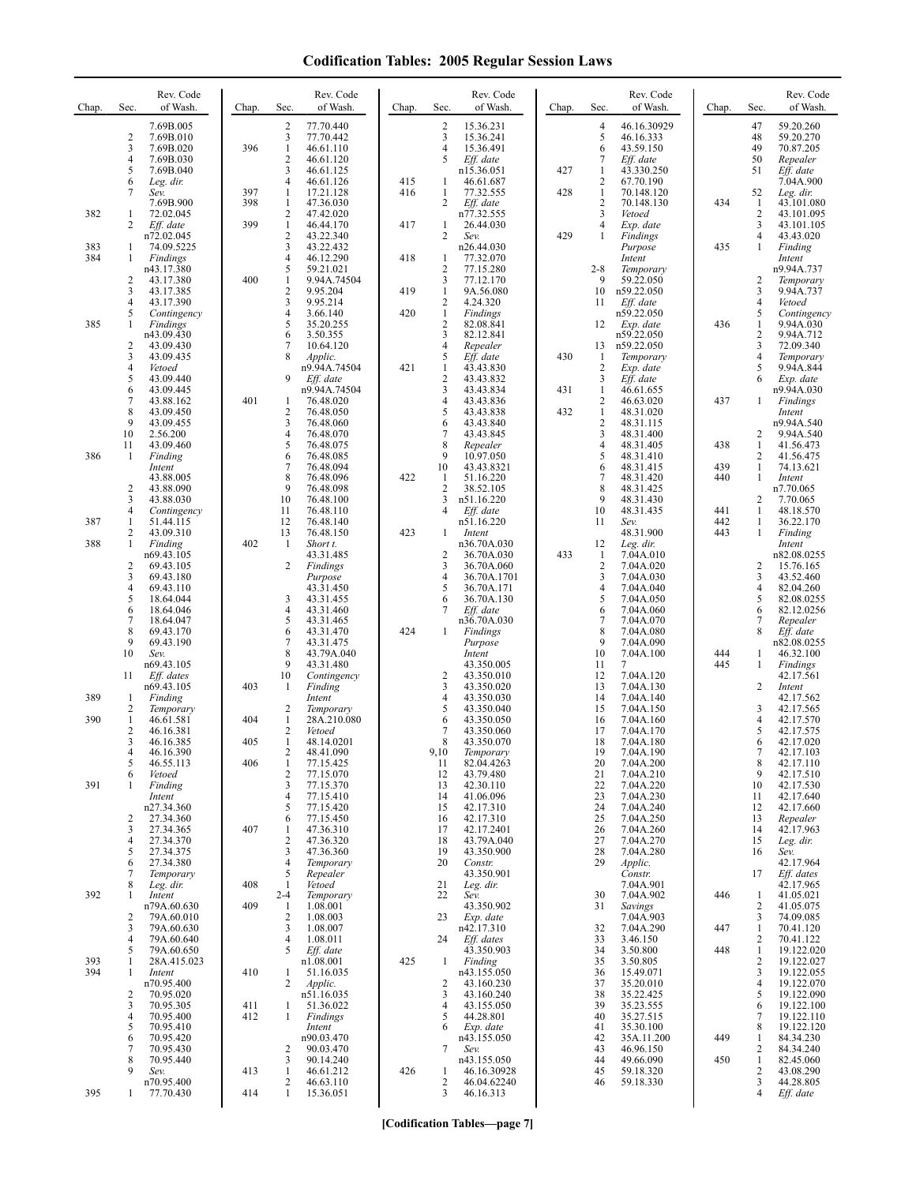| Chap. | Sec.                | Rev. Code<br>of Wash.     | Chap. | Sec.                       | Rev. Code<br>of Wash.        | Chap. | Sec.                           | Rev. Code<br>of Wash.     | Chap. | Sec.                             | Rev. Code<br>of Wash.    | Chap.      | Sec.                | Rev. Code<br>of Wash.    |
|-------|---------------------|---------------------------|-------|----------------------------|------------------------------|-------|--------------------------------|---------------------------|-------|----------------------------------|--------------------------|------------|---------------------|--------------------------|
|       |                     | 7.69B.005                 |       | 2                          | 77.70.440                    |       | $\overline{c}$                 | 15.36.231                 |       | $\overline{4}$                   | 46.16.30929              |            | 47                  | 59.20.260                |
|       | 2<br>3              | 7.69B.010<br>7.69B.020    | 396   | 3<br>$\mathbf{1}$          | 77.70.442<br>46.61.110       |       | 3<br>4                         | 15.36.241<br>15.36.491    |       | 5<br>6                           | 46.16.333<br>43.59.150   |            | 48<br>49            | 59.20.270<br>70.87.205   |
|       | $\overline{4}$      | 7.69B.030                 |       | 2                          | 46.61.120                    |       | 5                              | Eff. date                 |       | 7                                | Eff. date                |            | 50                  | Repealer                 |
|       | 5<br>6              | 7.69B.040<br>Leg. dir.    |       | 3<br>$\overline{4}$        | 46.61.125<br>46.61.126       | 415   | 1                              | n15.36.051<br>46.61.687   | 427   | $\mathbf{1}$<br>$\overline{2}$   | 43.330.250<br>67.70.190  |            | 51                  | Eff. date<br>7.04A.900   |
|       | 7                   | Sev.                      | 397   | $\mathbf{1}$               | 17.21.128                    | 416   | 1                              | 77.32.555                 | 428   | $\mathbf{1}$                     | 70.148.120               |            | 52                  | Leg. dir.                |
| 382   | 1                   | 7.69B.900<br>72.02.045    | 398   | $\mathbf{1}$<br>$\sqrt{2}$ | 47.36.030<br>47.42.020       |       | 2                              | Eff. date<br>n77.32.555   |       | $\overline{2}$<br>$\mathfrak{Z}$ | 70.148.130<br>Vetoed     | 434        | 1<br>$\overline{c}$ | 43.101.080<br>43.101.095 |
|       | 2                   | Eff. date                 | 399   | $\mathbf{1}$               | 46.44.170                    | 417   | $\mathbf{1}$                   | 26.44.030                 |       | $\overline{4}$                   | Exp. date                |            | 3                   | 43.101.105               |
| 383   | 1                   | n72.02.045<br>74.09.5225  |       | $\overline{2}$<br>3        | 43.22.340<br>43.22.432       |       | $\overline{2}$                 | Sev.<br>n26.44.030        | 429   | 1                                | Findings<br>Purpose      | 435        | 4<br>1              | 43.43.020<br>Finding     |
| 384   | 1                   | Findings                  |       | $\overline{4}$             | 46.12.290                    | 418   | 1                              | 77.32.070                 |       |                                  | Intent                   |            |                     | Intent                   |
|       | 2                   | n43.17.380<br>43.17.380   | 400   | 5<br>$\mathbf{1}$          | 59.21.021<br>9.94A.74504     |       | $\overline{2}$<br>3            | 77.15.280<br>77.12.170    |       | $2 - 8$<br>9                     | Temporary<br>59.22.050   |            | 2                   | n9.94A.737<br>Temporary  |
|       | 3                   | 43.17.385                 |       | $\overline{c}$             | 9.95.204                     | 419   | $\mathbf{1}$                   | 9A.56.080                 |       | 10                               | n59.22.050               |            | 3                   | 9.94A.737                |
|       | 4<br>5              | 43.17.390<br>Contingency  |       | 3<br>$\overline{4}$        | 9.95.214<br>3.66.140         | 420   | 2<br>$\mathbf{1}$              | 4.24.320<br>Findings      |       | 11                               | Eff. date<br>n59.22.050  |            | 4<br>5              | Vetoed<br>Contingency    |
| 385   | 1                   | Findings                  |       | 5                          | 35.20.255                    |       | $\sqrt{2}$                     | 82.08.841                 |       | 12                               | Exp. date                | 436        | 1                   | 9.94A.030                |
|       | $\overline{c}$      | n43.09.430<br>43.09.430   |       | 6<br>7                     | 3.50.355<br>10.64.120        |       | 3<br>4                         | 82.12.841<br>Repealer     |       | 13                               | n59.22.050<br>n59.22.050 |            | $\overline{c}$<br>3 | 9.94A.712<br>72.09.340   |
|       | 3                   | 43.09.435                 |       | 8                          | Applic.                      |       | 5                              | Eff. date                 | 430   | -1                               | Temporary                |            | 4                   | Temporary                |
|       | $\overline{4}$<br>5 | Vetoed<br>43.09.440       |       | 9                          | n9.94A.74504<br>Eff. date    | 421   | $\mathbf{1}$<br>$\overline{2}$ | 43.43.830<br>43.43.832    |       | $\overline{2}$<br>3              | Exp. date<br>Eff. date   |            | 5<br>6              | 9.94A.844<br>Exp. date   |
|       | 6                   | 43.09.445                 |       |                            | n9.94A.74504                 |       | 3                              | 43.43.834                 | 431   | $\mathbf{1}$                     | 46.61.655                |            |                     | n9.94A.030               |
|       | 7<br>8              | 43.88.162<br>43.09.450    | 401   | 1<br>2                     | 76.48.020<br>76.48.050       |       | $\overline{4}$<br>5            | 43.43.836<br>43.43.838    | 432   | $\overline{2}$<br>$\mathbf{1}$   | 46.63.020<br>48.31.020   | 437        | 1                   | Findings<br>Intent       |
|       | 9                   | 43.09.455                 |       | 3                          | 76.48.060                    |       | 6                              | 43.43.840                 |       | $\sqrt{2}$                       | 48.31.115                |            |                     | n9.94A.540               |
|       | 10<br>11            | 2.56.200<br>43.09.460     |       | $\overline{4}$<br>5        | 76.48.070<br>76.48.075       |       | 7<br>8                         | 43.43.845<br>Repealer     |       | 3<br>$\overline{4}$              | 48.31.400<br>48.31.405   | 438        | 2<br>1              | 9.94A.540<br>41.56.473   |
| 386   | 1                   | Finding                   |       | 6                          | 76.48.085                    |       | 9                              | 10.97.050                 |       | 5                                | 48.31.410                |            | $\overline{2}$      | 41.56.475                |
|       |                     | Intent<br>43.88.005       |       | $\overline{7}$<br>8        | 76.48.094<br>76.48.096       | 422   | 10<br>1                        | 43.43.8321<br>51.16.220   |       | 6<br>$\overline{7}$              | 48.31.415<br>48.31.420   | 439<br>440 | 1<br>$\mathbf{1}$   | 74.13.621<br>Intent      |
|       | $\overline{2}$      | 43.88.090                 |       | 9                          | 76.48.098                    |       | $\overline{2}$                 | 38.52.105                 |       | 8                                | 48.31.425                |            |                     | n7.70.065                |
|       | 3<br>$\overline{4}$ | 43.88.030<br>Contingency  |       | 10<br>11                   | 76.48.100<br>76.48.110       |       | 3<br>4                         | n51.16.220<br>Eff. date   |       | 9<br>10                          | 48.31.430<br>48.31.435   | 441        | $\overline{2}$<br>1 | 7.70.065<br>48.18.570    |
| 387   | 1                   | 51.44.115                 |       | 12                         | 76.48.140                    |       |                                | n51.16.220                |       | 11                               | Sev.                     | 442        | 1                   | 36.22.170                |
| 388   | 2<br>1              | 43.09.310<br>Finding      | 402   | 13<br>-1                   | 76.48.150<br>Short t.        | 423   | 1                              | Intent<br>n36.70A.030     |       | 12                               | 48.31.900<br>Leg. dir.   | 443        | $\mathbf{1}$        | Finding<br>Intent        |
|       |                     | n69.43.105                |       |                            | 43.31.485                    |       | $\overline{2}$                 | 36.70A.030                | 433   | -1                               | 7.04A.010                |            |                     | n82.08.0255              |
|       | 2<br>3              | 69.43.105<br>69.43.180    |       | 2                          | Findings<br>Purpose          |       | 3<br>4                         | 36.70A.060<br>36.70A.1701 |       | $\overline{2}$<br>3              | 7.04A.020<br>7.04A.030   |            | 2<br>3              | 15.76.165<br>43.52.460   |
|       | $\overline{4}$      | 69.43.110                 |       |                            | 43.31.450                    |       | 5                              | 36.70A.171                |       | $\overline{4}$                   | 7.04A.040                |            | 4                   | 82.04.260                |
|       | 5<br>6              | 18.64.044<br>18.64.046    |       | 3<br>$\overline{4}$        | 43.31.455<br>43.31.460       |       | 6<br>7                         | 36.70A.130<br>Eff. date   |       | 5<br>6                           | 7.04A.050<br>7.04A.060   |            | 5<br>6              | 82.08.0255<br>82.12.0256 |
|       | $\overline{7}$      | 18.64.047                 |       | 5                          | 43.31.465                    |       |                                | n36.70A.030               |       | $\overline{7}$                   | 7.04A.070                |            | 7                   | Repealer                 |
|       | 8<br>9              | 69.43.170<br>69.43.190    |       | 6<br>7                     | 43.31.470<br>43.31.475       | 424   | 1                              | Findings<br>Purpose       |       | 8<br>9                           | 7.04A.080<br>7.04A.090   |            | 8                   | Eff. date<br>n82.08.0255 |
|       | 10                  | Sev.                      |       | 8                          | 43.79A.040                   |       |                                | Intent                    |       | 10                               | 7.04A.100                | 444        | 1                   | 46.32.100                |
|       | 11                  | n69.43.105<br>Eff. dates  |       | 9<br>10                    | 43.31.480<br>Contingency     |       | $\overline{2}$                 | 43.350.005<br>43.350.010  |       | 11<br>12                         | 7<br>7.04A.120           | 445        | 1                   | Findings<br>42.17.561    |
|       |                     | n69.43.105                | 403   | 1                          | Finding                      |       | 3                              | 43.350.020                |       | 13                               | 7.04A.130                |            | $\overline{2}$      | Intent                   |
| 389   | 1<br>$\overline{2}$ | Finding<br>Temporary      |       | 2                          | Intent<br>Temporary          |       | 4<br>5                         | 43.350.030<br>43.350.040  |       | 14<br>15                         | 7.04A.140<br>7.04A.150   |            | 3                   | 42.17.562<br>42.17.565   |
| 390   | 1                   | 46.61.581                 | 404   | 1                          | 28A.210.080                  |       | 6                              | 43.350.050                |       | 16                               | 7.04A.160                |            | 4                   | 42.17.570                |
|       | $\overline{2}$<br>3 | 46.16.381<br>46.16.385    | 405   | 2<br>1                     | Vetoed<br>48.14.0201         |       | 7<br>8                         | 43.350.060<br>43.350.070  |       | 17<br>18                         | 7.04A.170<br>7.04A.180   |            | 5<br>6              | 42.17.575<br>42.17.020   |
|       | 4<br>5              | 46.16.390<br>46.55.113    | 406   | 2<br>1                     | 48.41.090                    |       | 9,10                           | <i>lemporary</i>          |       | 19<br>20                         | 7.04A.190                |            | 8                   | 42.17.103                |
|       | 6                   | Vetoed                    |       | $\overline{c}$             | 77.15.425<br>77.15.070       |       | 11<br>12                       | 82.04.4263<br>43.79.480   |       | 21                               | 7.04A.200<br>7.04A.210   |            | 9                   | 42.17.110<br>42.17.510   |
| 391   | -1                  | Finding                   |       | 3<br>4                     | 77.15.370<br>77.15.410       |       | 13<br>14                       | 42.30.110<br>41.06.096    |       | 22<br>23                         | 7.04A.220<br>7.04A.230   |            | 10<br>11            | 42.17.530<br>42.17.640   |
|       |                     | Intent<br>n27.34.360      |       | 5                          | 77.15.420                    |       | 15                             | 42.17.310                 |       | 24                               | 7.04A.240                |            | 12                  | 42.17.660                |
|       | 2<br>3              | 27.34.360<br>27.34.365    | 407   | 6<br>$\mathbf{1}$          | 77.15.450<br>47.36.310       |       | 16<br>17                       | 42.17.310<br>42.17.2401   |       | 25<br>26                         | 7.04A.250<br>7.04A.260   |            | 13<br>14            | Repealer<br>42.17.963    |
|       | 4                   | 27.34.370                 |       | 2                          | 47.36.320                    |       | 18                             | 43.79A.040                |       | 27                               | 7.04A.270                |            | 15                  | Leg. dir.                |
|       | 5<br>6              | 27.34.375<br>27.34.380    |       | 3<br>$\overline{4}$        | 47.36.360<br>Temporary       |       | 19<br>20                       | 43.350.900<br>Constr.     |       | 28<br>29                         | 7.04A.280                |            | 16                  | Sev.<br>42.17.964        |
|       | 7                   | Temporary                 |       | 5                          | Repealer                     |       |                                | 43.350.901                |       |                                  | Applic.<br>Constr.       |            | 17                  | Eff. dates               |
| 392   | 8<br>1              | Leg. dir.<br>Intent       | 408   | -1<br>$2 - 4$              | Vetoed<br>Temporary          |       | 21<br>22                       | Leg. dir.<br>Sev.         |       | 30                               | 7.04A.901<br>7.04A.902   | 446        | 1                   | 42.17.965<br>41.05.021   |
|       |                     | n79A.60.630               | 409   | -1                         | 1.08.001                     |       |                                | 43.350.902                |       | 31                               | Savings                  |            | 2                   | 41.05.075                |
|       | 2<br>3              | 79A.60.010<br>79A.60.630  |       | $\overline{c}$<br>3        | 1.08.003<br>1.08.007         |       | 23                             | Exp. date<br>n42.17.310   |       | 32                               | 7.04A.903<br>7.04A.290   | 447        | 3<br>$\mathbf{1}$   | 74.09.085<br>70.41.120   |
|       | 4                   | 79A.60.640                |       | $\overline{4}$             | 1.08.011                     |       | 24                             | Eff. dates                |       | 33                               | 3.46.150                 |            | 2                   | 70.41.122                |
| 393   | 5<br>1              | 79A.60.650<br>28A.415.023 |       | 5                          | Eff. date<br>n1.08.001       | 425   | 1                              | 43.350.903<br>Finding     |       | 34<br>35                         | 3.50.800<br>3.50.805     | 448        | 1<br>2              | 19.122.020<br>19.122.027 |
| 394   | 1                   | Intent                    | 410   | $\mathbf{1}$               | 51.16.035                    |       |                                | n43.155.050               |       | 36                               | 15.49.071                |            | 3                   | 19.122.055               |
|       | $\overline{c}$      | n70.95.400<br>70.95.020   |       | 2                          | <i>Applic.</i><br>n51.16.035 |       | $\overline{2}$<br>3            | 43.160.230<br>43.160.240  |       | 37<br>38                         | 35.20.010<br>35.22.425   |            | $\overline{4}$<br>5 | 19.122.070<br>19.122.090 |
|       | 3                   | 70.95.305                 | 411   | 1                          | 51.36.022                    |       | 4                              | 43.155.050                |       | 39                               | 35.23.555                |            | 6                   | 19.122.100               |
|       | $\overline{4}$<br>5 | 70.95.400<br>70.95.410    | 412   | $\mathbf{1}$               | Findings<br>Intent           |       | 5<br>6                         | 44.28.801<br>Exp. date    |       | 40<br>41                         | 35.27.515<br>35.30.100   |            | 7<br>8              | 19.122.110<br>19.122.120 |
|       | 6                   | 70.95.420                 |       |                            | n90.03.470                   |       |                                | n43.155.050               |       | 42                               | 35A.11.200               | 449        | 1                   | 84.34.230                |
|       | 7<br>8              | 70.95.430<br>70.95.440    |       | 2<br>3                     | 90.03.470<br>90.14.240       |       | 7                              | Sev.<br>n43.155.050       |       | 43<br>44                         | 46.96.150<br>49.66.090   | 450        | 2<br>1              | 84.34.240<br>82.45.060   |
|       | 9                   | Sev.                      | 413   | $\mathbf{1}$               | 46.61.212                    | 426   | 1                              | 46.16.30928               |       | 45                               | 59.18.320                |            | 2                   | 43.08.290                |
| 395   | 1                   | n70.95.400<br>77.70.430   | 414   | 2<br>$\mathbf{1}$          | 46.63.110<br>15.36.051       |       | 2<br>3                         | 46.04.62240<br>46.16.313  |       | 46                               | 59.18.330                |            | 3<br>4              | 44.28.805<br>Eff. date   |
|       |                     |                           |       |                            |                              |       |                                |                           |       |                                  |                          |            |                     |                          |

**[Codification Tables—page 7]**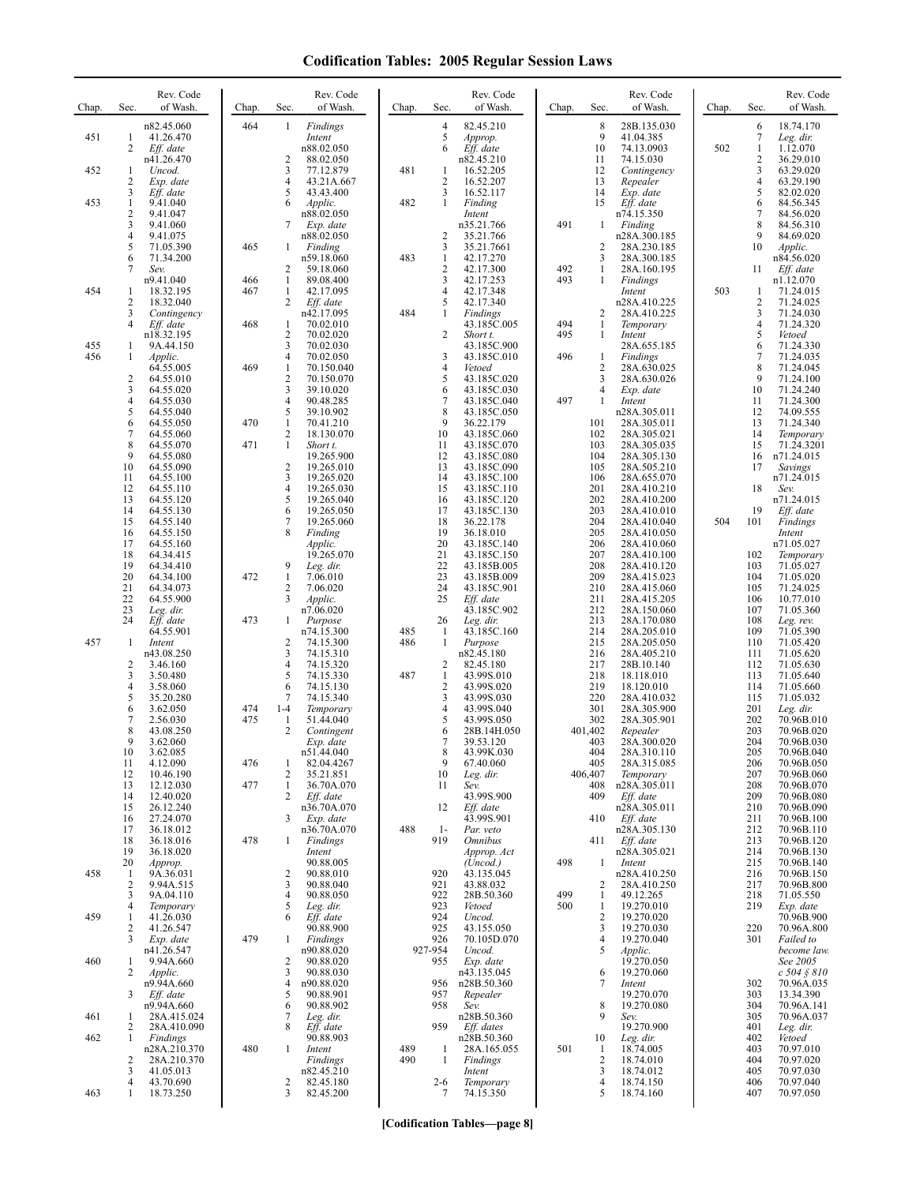| Chap. | Sec.                      | Rev. Code<br>of Wash.                                  | Chap.      | Rev. Code<br>Sec.<br>of Wash.                                                          | Chap.      | Sec.                                                           | Rev. Code<br>of Wash.                                    | Chap.      | Sec.                                        | Rev. Code<br>of Wash.                                     | Chap. | Sec.                        | Rev. Code<br>of Wash.                                      |
|-------|---------------------------|--------------------------------------------------------|------------|----------------------------------------------------------------------------------------|------------|----------------------------------------------------------------|----------------------------------------------------------|------------|---------------------------------------------|-----------------------------------------------------------|-------|-----------------------------|------------------------------------------------------------|
| 451   | $\mathbf{1}$<br>2         | n82.45.060<br>41.26.470<br>Eff. date<br>n41.26.470     | 464        | Findings<br>1<br>Intent<br>n88.02.050<br>2<br>88.02.050                                |            | $\overline{4}$<br>5<br>Approp.<br>Eff. date<br>6<br>n82.45.210 | 82.45.210                                                |            | 8<br>9<br>10<br>11                          | 28B.135.030<br>41.04.385<br>74.13.0903<br>74.15.030       | 502   | 6<br>7<br>$\mathbf{1}$<br>2 | 18.74.170<br>Leg. dir.<br>1.12.070<br>36.29.010            |
| 452   | -1<br>2<br>3              | Uncod.<br>Exp. date<br>Eff. date                       |            | 3<br>77.12.879<br>4<br>43.21A.667<br>5<br>43.43.400                                    | 481        | -1<br>$\sqrt{2}$<br>$\overline{\mathbf{3}}$                    | 16.52.205<br>16.52.207<br>16.52.117                      |            | 12<br>13<br>14                              | Contingency<br>Repealer<br>Exp. date                      |       | 3<br>4<br>5                 | 63.29.020<br>63.29.190<br>82.02.020                        |
| 453   | 1<br>2<br>3               | 9.41.040<br>9.41.047<br>9.41.060                       |            | Applic.<br>6<br>n88.02.050<br>7<br>Exp. date                                           | 482        | 1<br>Finding<br>Intent<br>n35.21.766                           |                                                          | 491        | 15<br>1                                     | Eff. date<br>n74.15.350<br>Finding                        |       | 6<br>7<br>8                 | 84.56.345<br>84.56.020<br>84.56.310                        |
|       | 4<br>5<br>6<br>7          | 9.41.075<br>71.05.390<br>71.34.200<br>Sev.             | 465        | n88.02.050<br>1<br>Finding<br>n59.18.060<br>2<br>59.18.060                             | 483        | $\overline{c}$<br>3<br>$\mathbf{1}$<br>$\overline{c}$          | 35.21.766<br>35.21.7661<br>42.17.270<br>42.17.300        | 492        | $\overline{2}$<br>3<br>1                    | n28A.300.185<br>28A.230.185<br>28A.300.185<br>28A.160.195 |       | 9<br>10<br>11               | 84.69.020<br>Applic.<br>n84.56.020<br>Eff. date            |
| 454   | -1<br>2                   | n9.41.040<br>18.32.195<br>18.32.040                    | 466<br>467 | 1<br>89.08.400<br>$\mathbf{1}$<br>42.17.095<br>2<br>Eff. date                          |            | 3<br>$\overline{4}$<br>5                                       | 42.17.253<br>42.17.348<br>42.17.340                      | 493        | 1                                           | <b>Findings</b><br>Intent<br>n28A.410.225                 | 503   | 1<br>2                      | n1.12.070<br>71.24.015<br>71.24.025                        |
| 455   | 3<br>4<br>-1              | Contingency<br>Eff. date<br>n18.32.195<br>9A.44.150    | 468        | n42.17.095<br>70.02.010<br>1<br>$\overline{\mathbf{c}}$<br>70.02.020<br>3<br>70.02.030 | 484        | 1<br>Findings<br>2<br>Short t.                                 | 43.185C.005<br>43.185C.900                               | 494<br>495 | 2<br>1<br>1                                 | 28A.410.225<br>Temporary<br>Intent<br>28A.655.185         |       | 3<br>4<br>5<br>6            | 71.24.030<br>71.24.320<br>Vetoed<br>71.24.330              |
| 456   | 1<br>2                    | Applic.<br>64.55.005<br>64.55.010                      | 469        | 4<br>70.02.050<br>$\mathbf{1}$<br>70.150.040<br>$\overline{\mathbf{c}}$<br>70.150.070  |            | 3<br>$\overline{4}$<br>Vetoed<br>5                             | 43.185C.010<br>43.185C.020                               | 496        | -1<br>2<br>3                                | Findings<br>28A.630.025<br>28A.630.026                    |       | 7<br>8<br>9                 | 71.24.035<br>71.24.045<br>71.24.100                        |
|       | 3<br>4<br>5<br>6          | 64.55.020<br>64.55.030<br>64.55.040<br>64.55.050       | 470        | 3<br>39.10.020<br>4<br>90.48.285<br>5<br>39.10.902<br>1<br>70.41.210                   |            | 6<br>$\overline{7}$<br>8<br>9                                  | 43.185C.030<br>43.185C.040<br>43.185C.050<br>36.22.179   | 497        | 4<br>1<br>101                               | Exp. date<br>Intent<br>n28A.305.011<br>28A.305.011        |       | 10<br>11<br>12<br>13        | 71.24.240<br>71.24.300<br>74.09.555<br>71.24.340           |
|       | 7<br>8<br>9               | 64.55.060<br>64.55.070<br>64.55.080                    | 471        | $\mathbf{2}$<br>18.130.070<br>$\mathbf{1}$<br>Short t.<br>19.265.900<br>$\overline{2}$ |            | 10<br>11<br>12<br>13                                           | 43.185C.060<br>43.185C.070<br>43.185C.080                |            | 102<br>103<br>104<br>105                    | 28A.305.021<br>28A.305.035<br>28A.305.130                 |       | 14<br>15<br>16<br>17        | Temporary<br>71.24.3201<br>n71.24.015                      |
|       | 10<br>11<br>12<br>13      | 64.55.090<br>64.55.100<br>64.55.110<br>64.55.120       |            | 19.265.010<br>3<br>19.265.020<br>4<br>19.265.030<br>5<br>19.265.040                    |            | 14<br>15<br>16                                                 | 43.185C.090<br>43.185C.100<br>43.185C.110<br>43.185C.120 |            | 106<br>201<br>202                           | 28A.505.210<br>28A.655.070<br>28A.410.210<br>28A.410.200  |       | 18                          | Savings<br>n71.24.015<br>Sev.<br>n71.24.015                |
|       | 14<br>15<br>16<br>17      | 64.55.130<br>64.55.140<br>64.55.150<br>64.55.160       |            | 6<br>19.265.050<br>7<br>19.265.060<br>8<br>Finding<br>Applic.                          |            | 17<br>18<br>19<br>20                                           | 43.185C.130<br>36.22.178<br>36.18.010<br>43.185C.140     |            | 203<br>204<br>205<br>206                    | 28A.410.010<br>28A.410.040<br>28A.410.050<br>28A.410.060  | 504   | 19<br>101                   | Eff. date<br>Findings<br>Intent<br>n71.05.027              |
|       | 18<br>19<br>20            | 64.34.415<br>64.34.410<br>64.34.100                    | 472        | 19.265.070<br>9<br>Leg. dir.<br>$\mathbf{1}$<br>7.06.010                               |            | 21<br>22<br>23                                                 | 43.185C.150<br>43.185B.005<br>43.185B.009                |            | 207<br>208<br>209                           | 28A.410.100<br>28A.410.120<br>28A.415.023                 |       | 102<br>103<br>104           | Temporary<br>71.05.027<br>71.05.020                        |
|       | 21<br>22<br>23<br>24      | 64.34.073<br>64.55.900<br>Leg. dir.<br>Eff. date       | 473        | 2<br>7.06.020<br>3<br>Applic.<br>n7.06.020<br>$\mathbf{1}$<br>Purpose                  |            | 24<br>25<br>Eff. date<br>26<br>Leg. dir.                       | 43.185C.901<br>43.185C.902                               |            | 210<br>211<br>212<br>213                    | 28A.415.060<br>28A.415.205<br>28A.150.060<br>28A.170.080  |       | 105<br>106<br>107<br>108    | 71.24.025<br>10.77.010<br>71.05.360<br>Leg. rev.           |
| 457   | -1<br>2                   | 64.55.901<br>Intent<br>n43.08.250<br>3.46.160          |            | n74.15.300<br>2<br>74.15.300<br>74.15.310<br>3<br>4                                    | 485<br>486 | -1<br>$\mathbf{1}$<br>Purpose<br>n82.45.180<br>2               | 43.185C.160<br>82.45.180                                 |            | 214<br>215<br>216<br>217                    | 28A.205.010<br>28A.205.050<br>28A.405.210                 |       | 109<br>110<br>111<br>112    | 71.05.390<br>71.05.420<br>71.05.620<br>71.05.630           |
|       | 3<br>4<br>5               | 3.50.480<br>3.58.060<br>35.20.280                      |            | 74.15.320<br>5<br>74.15.330<br>6<br>74.15.130<br>7<br>74.15.340                        | 487        | 1<br>$\overline{2}$<br>3                                       | 43.99S.010<br>43.99S.020<br>43.99S.030                   |            | 218<br>219<br>220                           | 28B.10.140<br>18.118.010<br>18.120.010<br>28A.410.032     |       | 113<br>114<br>115           | 71.05.640<br>71.05.660<br>71.05.032                        |
|       | 6<br>7<br>8<br>9          | 3.62.050<br>2.56.030<br>43.08.250<br>3.62.060          | 474<br>475 | $1 - 4$<br>Temporary<br>51.44.040<br>1<br>2<br>Contingent<br>Exp. date                 |            | $\overline{4}$<br>5<br>6<br>7                                  | 43.99S.040<br>43.99S.050<br>28B.14H.050<br>39.53.120     | 401,402    | 301<br>302<br>403                           | 28A.305.900<br>28A.305.901<br>Repealer<br>28A.300.020     |       | 201<br>202<br>203<br>204    | Leg. dir.<br>70.96B.010<br>70.96B.020<br>70.96B.030        |
|       | 10<br>11<br>12            | 3.62.085<br>4.12.090<br>10.46.190                      | 476        | n51.44.040<br>1<br>82.04.4267<br>2<br>35.21.851                                        |            | 8<br>9<br>10<br>Leg. dir.                                      | 43.99K.030<br>67.40.060                                  | 406,407    | 404<br>405                                  | 28A.310.110<br>28A.315.085<br>Temporary                   |       | 205<br>206<br>207           | 70.96B.040<br>70.96B.050<br>70.96B.060                     |
|       | 13<br>14<br>15<br>16      | 12.12.030<br>12.40.020<br>26.12.240<br>27.24.070       | 477        | 1<br>36.70A.070<br>2<br>Eff. date<br>n36.70A.070<br>3<br>Exp. date                     |            | 11<br>Sev.<br>12<br>Eff. date                                  | 43.99S.900<br>43.99S.901                                 |            | 408<br>409<br>410                           | n28A.305.011<br>Eff. date<br>n28A.305.011<br>Eff. date    |       | 208<br>209<br>210<br>211    | 70.96B.070<br>70.96B.080<br>70.96B.090<br>70.96B.100       |
|       | 17<br>18<br>19<br>20      | 36.18.012<br>36.18.016<br>36.18.020<br>Approp.         | 478        | n36.70A.070<br>Findings<br>1<br>Intent<br>90.88.005                                    | 488        | $1-$<br>Par. veto<br>919<br><i><b>Omnibus</b></i>              | Approp. Act<br>(Uncod.)                                  | 498        | 411<br>1                                    | n28A.305.130<br>Eff. date<br>n28A.305.021<br>Intent       |       | 212<br>213<br>214<br>215    | 70.96B.110<br>70.96B.120<br>70.96B.130<br>70.96B.140       |
| 458   | -1<br>$\overline{2}$<br>3 | 9A.36.031<br>9.94A.515<br>9A.04.110                    |            | $\overline{c}$<br>90.88.010<br>3<br>90.88.040<br>90.88.050<br>4                        |            | 920<br>921<br>922                                              | 43.135.045<br>43.88.032<br>28B.50.360                    | 499        | 2<br>-1                                     | n28A.410.250<br>28A.410.250<br>49.12.265                  |       | 216<br>217<br>218           | 70.96B.150<br>70.96B.800<br>71.05.550                      |
| 459   | 4<br>1<br>2<br>3          | Temporary<br>41.26.030<br>41.26.547<br>Exp. date       | 479        | 5<br>Leg. dir.<br>Eff. date<br>6<br>90.88.900<br>Findings<br>1                         |            | 923<br>Vetoed<br>924<br>Uncod.<br>925<br>926                   | 43.155.050<br>70.105D.070                                | 500        | -1<br>$\overline{2}$<br>3<br>$\overline{4}$ | 19.270.010<br>19.270.020<br>19.270.030<br>19.270.040      |       | 219<br>220<br>301           | Exp. date<br>70.96B.900<br>70.96A.800<br>Failed to         |
| 460   | 1<br>2                    | n41.26.547<br>9.94A.660<br>Applic.<br>n9.94A.660       |            | n90.88.020<br>90.88.020<br>2<br>3<br>90.88.030<br>n90.88.020<br>4                      |            | 927-954<br>Uncod.<br>955<br>956                                | Exp. date<br>n43.135.045<br>n28B.50.360                  |            | 5<br>6<br>7                                 | Applic.<br>19.270.050<br>19.270.060<br>Intent             |       | 302                         | become law.<br>See 2005<br>$c 504 \, \S 810$<br>70.96A.035 |
| 461   | 3<br>1                    | Eff. date<br>n9.94A.660<br>28A.415.024                 |            | 5<br>90.88.901<br>90.88.902<br>6<br>7<br>Leg. dir.<br>8                                |            | 957<br>Repealer<br>958<br>Sev.<br>959                          | n28B.50.360                                              |            | 8<br>9                                      | 19.270.070<br>19.270.080<br>Sev.                          |       | 303<br>304<br>305           | 13.34.390<br>70.96A.141<br>70.96A.037                      |
| 462   | 2<br>-1<br>2              | 28A.410.090<br>Findings<br>n28A.210.370<br>28A.210.370 | 480        | Eff. date<br>90.88.903<br>1<br>Intent<br>Findings                                      | 489<br>490 | -1<br>$\mathbf{1}$<br>Findings                                 | Eff. dates<br>n28B.50.360<br>28A.165.055                 | 501        | 10<br>-1<br>$\overline{2}$                  | 19.270.900<br>Leg. dir.<br>18.74.005<br>18.74.010         |       | 401<br>402<br>403<br>404    | Leg. dir.<br>Vetoed<br>70.97.010<br>70.97.020              |
| 463   | 3<br>4<br>1               | 41.05.013<br>43.70.690<br>18.73.250                    |            | n82.45.210<br>2<br>82.45.180<br>3<br>82.45.200                                         |            | Intent<br>$2 - 6$<br>7                                         | Temporary<br>74.15.350                                   |            | 3<br>4<br>5                                 | 18.74.012<br>18.74.150<br>18.74.160                       |       | 405<br>406<br>407           | 70.97.030<br>70.97.040<br>70.97.050                        |

**[Codification Tables—page 8]**